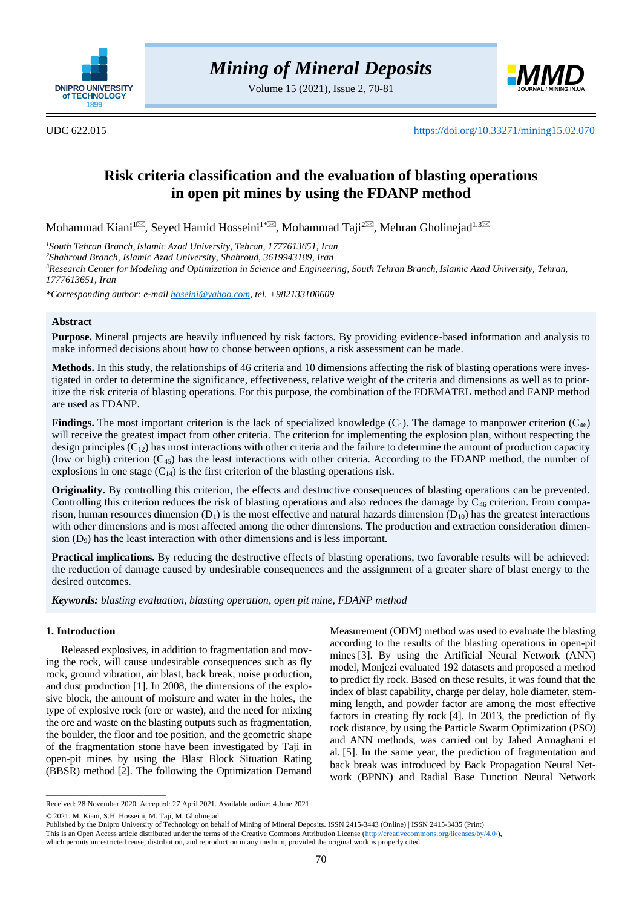

Volume 15 (2021), Issue 2, 70-81



UDC 622.015 <https://doi.org/10.33271/mining15.02.070>

# **Risk criteria classification and the evaluation of blasting operations in open pit mines by using the FDANP method**

Mohammad Kiani™, Seyed Hamid Hosseini™∞, Mohammad Taji™, Mehran Gholinejad<sup>[1](mailto:mo.kiani@yahoo.com),3</sup>

*<sup>1</sup>South Tehran Branch,Islamic Azad University, Tehran, 1777613651, Iran*

*<sup>2</sup>Shahroud Branch, Islamic Azad University, Shahroud, 3619943189, Iran*

*<sup>3</sup>Research Center for Modeling and Optimization in Science and Engineering, South Tehran Branch, Islamic Azad University, Tehran, 1777613651, Iran*

*\*Corresponding author: e-mai[l hoseini@yahoo.com,](mailto:hoseini@yahoo.com) tel. +982133100609*

## **Abstract**

**Purpose.** Mineral projects are heavily influenced by risk factors. By providing evidence-based information and analysis to make informed decisions about how to choose between options, a risk assessment can be made.

**Methods.** In this study, the relationships of 46 criteria and 10 dimensions affecting the risk of blasting operations were investigated in order to determine the significance, effectiveness, relative weight of the criteria and dimensions as well as to prioritize the risk criteria of blasting operations. For this purpose, the combination of the FDEMATEL method and FANP method are used as FDANP.

**Findings.** The most important criterion is the lack of specialized knowledge  $(C_1)$ . The damage to manpower criterion  $(C_{46})$ will receive the greatest impact from other criteria. The criterion for implementing the explosion plan, without respecting the design principles  $(C_{12})$  has most interactions with other criteria and the failure to determine the amount of production capacity (low or high) criterion  $(C_{45})$  has the least interactions with other criteria. According to the FDANP method, the number of explosions in one stage  $(C_{14})$  is the first criterion of the blasting operations risk.

**Originality.** By controlling this criterion, the effects and destructive consequences of blasting operations can be prevented. Controlling this criterion reduces the risk of blasting operations and also reduces the damage by  $C_{46}$  criterion. From comparison, human resources dimension  $(D_1)$  is the most effective and natural hazards dimension  $(D_{10})$  has the greatest interactions with other dimensions and is most affected among the other dimensions. The production and extraction consideration dimension  $(D_9)$  has the least interaction with other dimensions and is less important.

**Practical implications.** By reducing the destructive effects of blasting operations, two favorable results will be achieved: the reduction of damage caused by undesirable consequences and the assignment of a greater share of blast energy to the desired outcomes.

*Keywords: blasting evaluation, blasting operation, open pit mine, FDANP method*

## **1. Introduction**

Released explosives, in addition to fragmentation and moving the rock, will cause undesirable consequences such as fly rock, ground vibration, air blast, back break, noise production, and dust production [\[1\].](#page-9-0) In 2008, the dimensions of the explosive block, the amount of moisture and water in the holes, the type of explosive rock (ore or waste), and the need for mixing the ore and waste on the blasting outputs such as fragmentation, the boulder, the floor and toe position, and the geometric shape of the fragmentation stone have been investigated by Taji in open-pit mines by using the Blast Block Situation Rating (BBSR) method [\[2\].](#page-9-1) The following the Optimization Demand

**EXERCT ACTION CONSULTS CONSULTS CONSULTS CONSULTS (2018)**<br> **EXERCT ACTION CONSULTS (2018)**<br> **EXERCT ACTION CONSULTS (2018)**<br> **EXERCT ACTION CONSULTS (2018)**<br> **EXERCT ACTION CONSULTS (2018)**<br> *EXERCT ACTION*<br> *EXERCT ACTI* Measurement (ODM) method was used to evaluate the blasting according to the results of the blasting operations in open-pit mines [\[3\].](#page-9-2) By using the Artificial Neural Network (ANN) model, Monjezi evaluated 192 datasets and proposed a method to predict fly rock. Based on these results, it was found that the index of blast capability, charge per delay, hole diameter, stemming length, and powder factor are among the most effective factors in creating fly rock [\[4\].](#page-9-3) In 2013, the prediction of fly rock distance, by using the Particle Swarm Optimization (PSO) and ANN methods, was carried out by Jahed Armaghani et al. [\[5\].](#page-9-4) In the same year, the prediction of fragmentation and back break was introduced by Back Propagation Neural Network (BPNN) and Radial Base Function Neural Network

© 2021. M. Kiani, S.H. Hosseini, M. Taji, M. Gholinejad

 $\overline{\phantom{a}}$  , and the set of the set of the set of the set of the set of the set of the set of the set of the set of the set of the set of the set of the set of the set of the set of the set of the set of the set of the s

Received: 28 November 2020. Accepted: 27 April 2021. Available online: 4 June 2021

Published by the Dnipro University of Technology on behalf of Mining of Mineral Deposits. ISSN 2415-3443 (Online) | ISSN 2415-3435 (Print)

This is an Open Access article distributed under the terms of the Creative Commons Attribution License [\(http://creativecommons.org/licenses/by/4.0/\)](http://creativecommons.org/licenses/by/4.0/),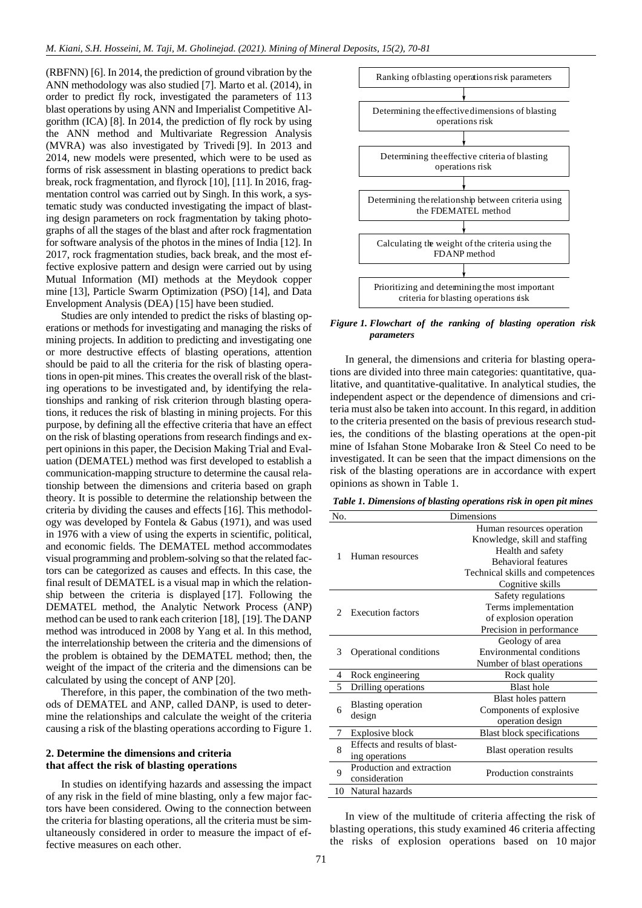(RBFNN) [\[6\].](#page-9-5) In 2014, the prediction of ground vibration by the ANN methodology was also studied [\[7\].](#page-9-6) Marto et al. (2014), in order to predict fly rock, investigated the parameters of 113 blast operations by using ANN and Imperialist Competitive Algorithm (ICA) [\[8\].](#page-9-7) In 2014, the prediction of fly rock by using the ANN method and Multivariate Regression Analysis (MVRA) was also investigated by Trivedi [\[9\].](#page-9-8) In 2013 and 2014, new models were presented, which were to be used as forms of risk assessment in blasting operations to predict back break, rock fragmentation, and flyrock [\[10\],](#page-9-9) [\[11\].](#page-9-10) In 2016, fragmentation control was carried out by Singh. In this work, a systematic study was conducted investigating the impact of blasting design parameters on rock fragmentation by taking photographs of all the stages of the blast and after rock fragmentation for software analysis of the photos in the mines of India [\[12\].](#page-9-11) In 2017, rock fragmentation studies, back break, and the most effective explosive pattern and design were carried out by using Mutual Information (MI) methods at the Meydook copper mine [\[13\],](#page-10-0) Particle Swarm Optimization (PSO) [\[14\],](#page-10-1) and Data Envelopment Analysis (DEA) [\[15\]](#page-10-2) have been studied.

Studies are only intended to predict the risks of blasting operations or methods for investigating and managing the risks of mining projects. In addition to predicting and investigating one or more destructive effects of blasting operations, attention should be paid to all the criteria for the risk of blasting operations in open-pit mines. This creates the overall risk of the blasting operations to be investigated and, by identifying the relationships and ranking of risk criterion through blasting operations, it reduces the risk of blasting in mining projects. For this purpose, by defining all the effective criteria that have an effect on the risk of blasting operations from research findings and expert opinions in this paper, the Decision Making Trial and Evaluation (DEMATEL) method was first developed to establish a communication-mapping structure to determine the causal relationship between the dimensions and criteria based on graph theory. It is possible to determine the relationship between the criteria by dividing the causes and effects [\[16\].](#page-10-3) This methodology was developed by Fontela & Gabus (1971), and was used in 1976 with a view of using the experts in scientific, political, and economic fields. The DEMATEL method accommodates visual programming and problem-solving so that the related factors can be categorized as causes and effects. In this case, the final result of DEMATEL is a visual map in which the relationship between the criteria is displayed [\[17\].](#page-10-4) Following the DEMATEL method, the Analytic Network Process (ANP) method can be used to rank each criterion [\[18\],](#page-10-5) [\[19\].](#page-10-6) The DANP method was introduced in 2008 by Yang et al. In this method, the interrelationship between the criteria and the dimensions of the problem is obtained by the DEMATEL method; then, the weight of the impact of the criteria and the dimensions can be calculated by using the concept of ANP [\[20\].](#page-10-7)

Therefore, in this paper, the combination of the two methods of DEMATEL and ANP, called DANP, is used to determine the relationships and calculate the weight of the criteria causing a risk of the blasting operations according to Figure 1.

## **2. Determine the dimensions and criteria that affect the risk of blasting operations**

In studies on identifying hazards and assessing the impact of any risk in the field of mine blasting, only a few major factors have been considered. Owing to the connection between the criteria for blasting operations, all the criteria must be simultaneously considered in order to measure the impact of effective measures on each other.



*Figure 1. Flowchart of the ranking of blasting operation risk parameters*

*Table 1. Dimensions of blasting operations risk in open pit mines*

|     |                                            | Determining the effective dimensions of blasting<br>operations risk                                                                                                                                   |  |  |  |
|-----|--------------------------------------------|-------------------------------------------------------------------------------------------------------------------------------------------------------------------------------------------------------|--|--|--|
|     |                                            |                                                                                                                                                                                                       |  |  |  |
|     |                                            |                                                                                                                                                                                                       |  |  |  |
|     |                                            | Determining the effective criteria of blasting<br>operations risk                                                                                                                                     |  |  |  |
|     |                                            |                                                                                                                                                                                                       |  |  |  |
|     |                                            | Determining the relationship between criteria using<br>the FDEMATEL method                                                                                                                            |  |  |  |
|     |                                            |                                                                                                                                                                                                       |  |  |  |
|     |                                            | Calculating the weight of the criteria using the<br>FDANP method                                                                                                                                      |  |  |  |
|     |                                            |                                                                                                                                                                                                       |  |  |  |
|     |                                            | Prioritizing and determining the most important<br>criteria for blasting operations risk                                                                                                              |  |  |  |
|     | parameters                                 | Figure 1. Flowchart of the ranking of blasting operation risk                                                                                                                                         |  |  |  |
|     |                                            |                                                                                                                                                                                                       |  |  |  |
|     |                                            | In general, the dimensions and criteria for blasting opera-<br>tions are divided into three main categories: quantitative, qua-<br>litative, and quantitative-qualitative. In analytical studies, the |  |  |  |
|     |                                            | independent aspect or the dependence of dimensions and cri-                                                                                                                                           |  |  |  |
|     |                                            | teria must also be taken into account. In this regard, in addition                                                                                                                                    |  |  |  |
|     |                                            | to the criteria presented on the basis of previous research stud-                                                                                                                                     |  |  |  |
|     |                                            | ies, the conditions of the blasting operations at the open-pit                                                                                                                                        |  |  |  |
|     |                                            | mine of Isfahan Stone Mobarake Iron & Steel Co need to be<br>investigated. It can be seen that the impact dimensions on the                                                                           |  |  |  |
|     |                                            | risk of the blasting operations are in accordance with expert                                                                                                                                         |  |  |  |
|     | opinions as shown in Table 1.              |                                                                                                                                                                                                       |  |  |  |
|     |                                            |                                                                                                                                                                                                       |  |  |  |
|     |                                            | Table 1. Dimensions of blasting operations risk in open pit mines                                                                                                                                     |  |  |  |
| No. |                                            | Dimensions                                                                                                                                                                                            |  |  |  |
|     |                                            | Human resources operation<br>Knowledge, skill and staffing                                                                                                                                            |  |  |  |
|     |                                            | Health and safety                                                                                                                                                                                     |  |  |  |
| 1   | Human resources                            | <b>Behavioral</b> features                                                                                                                                                                            |  |  |  |
|     |                                            | Technical skills and competences                                                                                                                                                                      |  |  |  |
|     |                                            | Cognitive skills                                                                                                                                                                                      |  |  |  |
|     |                                            | Safety regulations                                                                                                                                                                                    |  |  |  |
| 2   | <b>Execution factors</b>                   | Terms implementation<br>of explosion operation                                                                                                                                                        |  |  |  |
|     |                                            | Precision in performance                                                                                                                                                                              |  |  |  |
|     |                                            | Geology of area                                                                                                                                                                                       |  |  |  |
| 3   | Operational conditions                     | Environmental conditions                                                                                                                                                                              |  |  |  |
|     |                                            | Number of blast operations                                                                                                                                                                            |  |  |  |
| 4   | Rock engineering                           | Rock quality                                                                                                                                                                                          |  |  |  |
| 5   | Drilling operations                        | <b>Blast</b> hole                                                                                                                                                                                     |  |  |  |
|     | <b>Blasting operation</b>                  | Blast holes pattern                                                                                                                                                                                   |  |  |  |
| 6   | design                                     | Components of explosive<br>operation design                                                                                                                                                           |  |  |  |
| 7   | Explosive block                            | <b>Blast block specifications</b>                                                                                                                                                                     |  |  |  |
|     | Effects and results of blast-              |                                                                                                                                                                                                       |  |  |  |
| 8   | ing operations                             | Blast operation results                                                                                                                                                                               |  |  |  |
| 9   | Production and extraction<br>consideration | Production constraints                                                                                                                                                                                |  |  |  |
| 10  | Natural hazards                            |                                                                                                                                                                                                       |  |  |  |
|     |                                            |                                                                                                                                                                                                       |  |  |  |
|     |                                            |                                                                                                                                                                                                       |  |  |  |
|     |                                            | In view of the multitude of criteria affecting the risk of                                                                                                                                            |  |  |  |
|     |                                            | blasting operations, this study examined 46 criteria affecting                                                                                                                                        |  |  |  |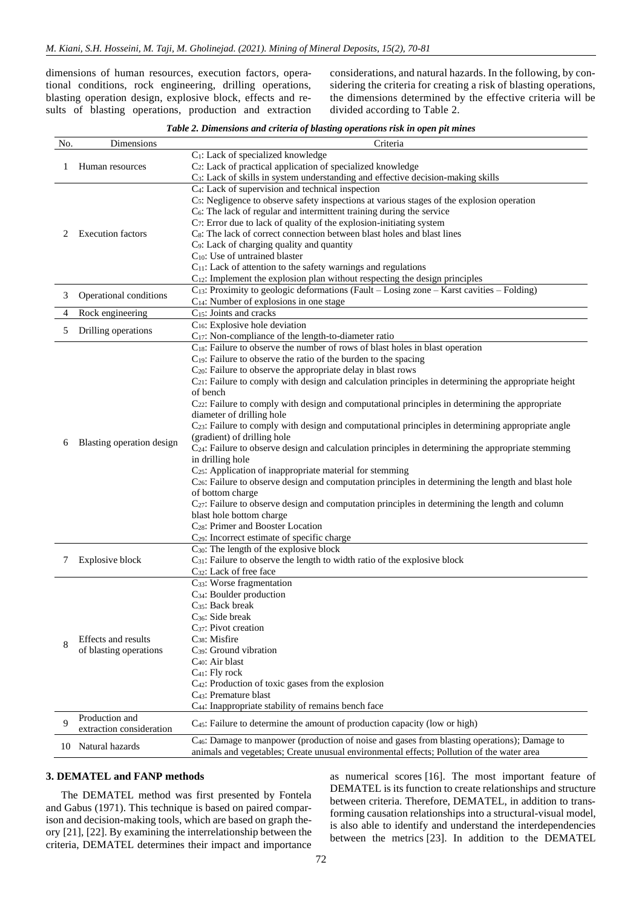dimensions of human resources, execution factors, operational conditions, rock engineering, drilling operations, blasting operation design, explosive block, effects and results of blasting operations, production and extraction

considerations, and natural hazards. In the following, by considering the criteria for creating a risk of blasting operations, the dimensions determined by the effective criteria will be divided according to Table 2.

| Table 2. Dimensions and criteria of blasting operations risk in open pit mines |  |  |
|--------------------------------------------------------------------------------|--|--|
|                                                                                |  |  |

| No. | Dimensions                | Criteria                                                                                                    |
|-----|---------------------------|-------------------------------------------------------------------------------------------------------------|
|     |                           | C <sub>1</sub> : Lack of specialized knowledge                                                              |
| 1   | Human resources           | C <sub>2</sub> : Lack of practical application of specialized knowledge                                     |
|     |                           | C <sub>3</sub> : Lack of skills in system understanding and effective decision-making skills                |
|     |                           | C <sub>4</sub> : Lack of supervision and technical inspection                                               |
|     |                           | $C5$ : Negligence to observe safety inspections at various stages of the explosion operation                |
|     |                           | $C_6$ : The lack of regular and intermittent training during the service                                    |
|     |                           | $C_7$ : Error due to lack of quality of the explosion-initiating system                                     |
| 2   | <b>Execution</b> factors  | C <sub>8</sub> : The lack of correct connection between blast holes and blast lines                         |
|     |                           | C <sub>9</sub> : Lack of charging quality and quantity                                                      |
|     |                           | C <sub>10</sub> : Use of untrained blaster                                                                  |
|     |                           | $C_{11}$ : Lack of attention to the safety warnings and regulations                                         |
|     |                           | $C_{12}$ : Implement the explosion plan without respecting the design principles                            |
|     |                           | C <sub>13</sub> : Proximity to geologic deformations (Fault – Losing zone – Karst cavities – Folding)       |
| 3   | Operational conditions    | $C_{14}$ : Number of explosions in one stage                                                                |
| 4   | Rock engineering          | C <sub>15</sub> : Joints and cracks                                                                         |
|     |                           | C <sub>16</sub> : Explosive hole deviation                                                                  |
| 5   | Drilling operations       | C <sub>17</sub> : Non-compliance of the length-to-diameter ratio                                            |
|     |                           | C <sub>18</sub> : Failure to observe the number of rows of blast holes in blast operation                   |
|     |                           | $C_{19}$ : Failure to observe the ratio of the burden to the spacing                                        |
|     |                           | $C_{20}$ : Failure to observe the appropriate delay in blast rows                                           |
|     |                           | $C_{21}$ : Failure to comply with design and calculation principles in determining the appropriate height   |
|     |                           | of bench                                                                                                    |
|     |                           | $C_{22}$ : Failure to comply with design and computational principles in determining the appropriate        |
|     |                           | diameter of drilling hole                                                                                   |
|     | Blasting operation design | $C_{23}$ : Failure to comply with design and computational principles in determining appropriate angle      |
|     |                           | (gradient) of drilling hole                                                                                 |
| 6   |                           | $C24$ : Failure to observe design and calculation principles in determining the appropriate stemming        |
|     |                           | in drilling hole                                                                                            |
|     |                           | C <sub>25</sub> : Application of inappropriate material for stemming                                        |
|     |                           | $C_{26}$ : Failure to observe design and computation principles in determining the length and blast hole    |
|     |                           | of bottom charge                                                                                            |
|     |                           | C <sub>27</sub> : Failure to observe design and computation principles in determining the length and column |
|     |                           | blast hole bottom charge                                                                                    |
|     |                           | C <sub>28</sub> : Primer and Booster Location                                                               |
|     |                           | C <sub>29</sub> : Incorrect estimate of specific charge                                                     |
|     |                           | $C_{30}$ : The length of the explosive block                                                                |
|     | Explosive block           | C <sub>31</sub> : Failure to observe the length to width ratio of the explosive block                       |
|     |                           | C <sub>32</sub> : Lack of free face                                                                         |
|     |                           | C <sub>33</sub> : Worse fragmentation                                                                       |
|     |                           | C <sub>34</sub> : Boulder production                                                                        |
|     |                           | C <sub>35</sub> : Back break                                                                                |
|     |                           | $C_{36}$ : Side break                                                                                       |
|     |                           | C <sub>37</sub> : Pivot creation                                                                            |
|     | Effects and results       | $C_{38}$ : Misfire                                                                                          |
| 8   | of blasting operations    | $C_{39}$ : Ground vibration                                                                                 |
|     |                           | C <sub>40</sub> : Air blast                                                                                 |
|     |                           | $C_{41}$ : Fly rock                                                                                         |
|     |                           | C <sub>42</sub> : Production of toxic gases from the explosion                                              |
|     |                           | C <sub>43</sub> : Premature blast                                                                           |
|     |                           | C <sub>44</sub> : Inappropriate stability of remains bench face                                             |
|     | Production and            |                                                                                                             |
| 9   | extraction consideration  | C <sub>45</sub> : Failure to determine the amount of production capacity (low or high)                      |
|     | 10 Natural hazards        | C <sub>46</sub> : Damage to manpower (production of noise and gases from blasting operations); Damage to    |
|     |                           | animals and vegetables; Create unusual environmental effects; Pollution of the water area                   |

## **3. DEMATEL and FANP methods**

The DEMATEL method was first presented by Fontela and Gabus (1971). This technique is based on paired comparison and decision-making tools, which are based on graph theory [\[21\],](#page-10-8) [\[22\].](#page-10-9) By examining the interrelationship between the criteria, DEMATEL determines their impact and importance

as numerical scores [\[16\].](#page-10-3) The most important feature of DEMATEL is its function to create relationships and structure between criteria. Therefore, DEMATEL, in addition to transforming causation relationships into a structural-visual model, is also able to identify and understand the interdependencies between the metrics [\[23\].](#page-10-10) In addition to the DEMATEL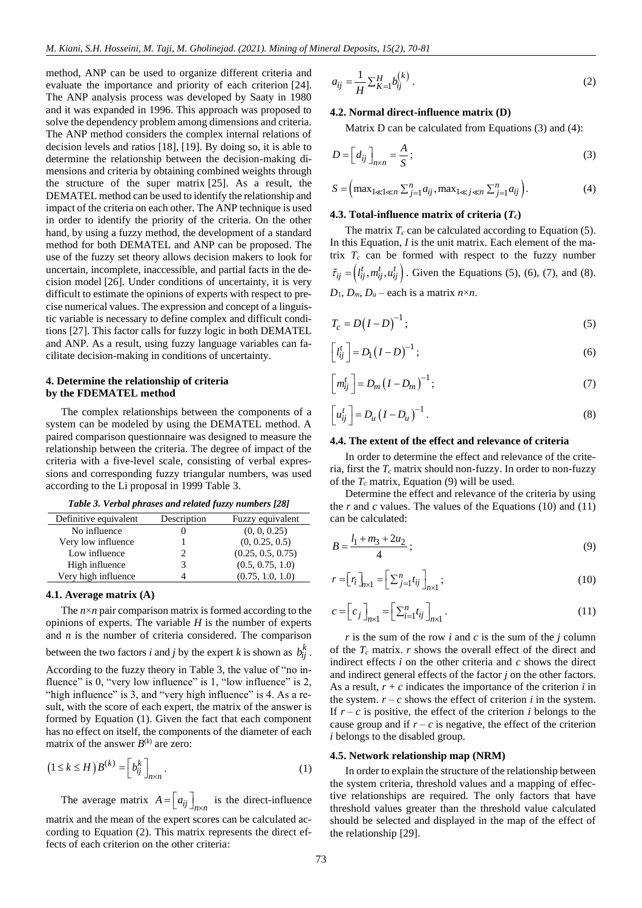method, ANP can be used to organize different criteria and evaluate the importance and priority of each criterion [\[24\].](#page-10-11) The ANP analysis process was developed by Saaty in 1980 and it was expanded in 1996. This approach was proposed to solve the dependency problem among dimensions and criteria. The ANP method considers the complex internal relations of decision levels and ratios [\[18\],](#page-10-5) [\[19\].](#page-10-6) By doing so, it is able to determine the relationship between the decision-making dimensions and criteria by obtaining combined weights through the structure of the super matrix [\[25\].](#page-10-12) As a result, the DEMATEL method can be used to identify the relationship and impact of the criteria on each other. The ANP technique is used in order to identify the priority of the criteria. On the other hand, by using a fuzzy method, the development of a standard method for both DEMATEL and ANP can be proposed. The use of the fuzzy set theory allows decision makers to look for uncertain, incomplete, inaccessible, and partial facts in the decision model [\[26\].](#page-10-13) Under conditions of uncertainty, it is very difficult to estimate the opinions of experts with respect to precise numerical values. The expression and concept of a linguistic variable is necessary to define complex and difficult conditions [\[27\].](#page-10-14) This factor calls for fuzzy logic in both DEMATEL and ANP. As a result, using fuzzy language variables can facilitate decision-making in conditions of uncertainty.

## **4. Determine the relationship of criteria by the FDEMATEL method**

The complex relationships between the components of a system can be modeled by using the DEMATEL method. A paired comparison questionnaire was designed to measure the relationship between the criteria. The degree of impact of the criteria with a five-level scale, consisting of verbal expressions and corresponding fuzzy triangular numbers, was used according to the Li proposal in 1999 Table 3.

| Table 3. Verbal phrases and related fuzzy numbers [28] |  |  |  |  |
|--------------------------------------------------------|--|--|--|--|
|--------------------------------------------------------|--|--|--|--|

| Definitive equivalent | Description | Fuzzy equivalent  |
|-----------------------|-------------|-------------------|
| No influence          |             | (0, 0, 0.25)      |
| Very low influence    |             | (0, 0.25, 0.5)    |
| Low influence         |             | (0.25, 0.5, 0.75) |
| High influence        |             | (0.5, 0.75, 1.0)  |
| Very high influence   |             | (0.75, 1.0, 1.0)  |

### **4.1. Average matrix (A)**

The  $n \times n$  pair comparison matrix is formed according to the opinions of experts. The variable *H* is the number of experts and *n* is the number of criteria considered. The comparison between the two factors *i* and *j* by the expert *k* is shown as  $b_{ij}^k$ . According to the fuzzy theory in Table 3, the value of "no influence" is 0, "very low influence" is 1, "low influence" is 2, "high influence" is 3, and "very high influence" is 4. As a result, with the score of each expert, the matrix of the answer is formed by Equation (1). Given the fact that each component has no effect on itself, the components of the diameter of each matrix of the answer  $B^{(k)}$  are zero:

$$
\left(1 \le k \le H\right) B^{(k)} = \left[b_{ij}^k\right]_{n \times n}.\tag{1}
$$

The average matrix  $A = \left[ a_{ij} \right]_{n \times n}$  is the direct-influence

matrix and the mean of the expert scores can be calculated according to Equation (2). This matrix represents the direct effects of each criterion on the other criteria:

$$
a_{ij} = \frac{1}{H} \sum_{k=1}^{H} b_{ij}^{(k)}.
$$
 (2)

## **4.2. Normal direct-influence matrix (D)**

Matrix D can be calculated from Equations  $(3)$  and  $(4)$ :

$$
D = \left[d_{ij}\right]_{n \times n} = \frac{A}{S};\tag{3}
$$

$$
S = \left( \max_{1 \ll 1 \ll n} \sum_{j=1}^{n} a_{ij}, \max_{1 \ll j \ll n} \sum_{j=1}^{n} a_{ij} \right). \tag{4}
$$

## **4.3. Total-influence matrix of criteria (***Tc***)**

The matrix  $T_c$  can be calculated according to Equation (5). In this Equation, *I* is the unit matrix. Each element of the matrix  $T_c$  can be formed with respect to the fuzzy number  $\tilde{\tau}_{ij} = (l_{ij}^t, m_{ij}^t, u_{ij}^t)$ . Given the Equations (5), (6), (7), and (8).  $D_1$ ,  $D_m$ ,  $D_u$  – each is a matrix  $n \times n$ .

$$
T_c = D\left(I - D\right)^{-1};\tag{5}
$$

$$
\left[l_{ij}^t\right] = D_1 \left(I - D\right)^{-1};\tag{6}
$$

$$
\left[m_{ij}^t\right] = D_m \left(I - D_m\right)^{-1};\tag{7}
$$

$$
\left[u_{ij}^t\right] = D_u \left(I - D_u\right)^{-1}.\tag{8}
$$

### **4.4. The extent of the effect and relevance of criteria**

In order to determine the effect and relevance of the criteria, first the *T<sup>c</sup>* matrix should non-fuzzy. In order to non-fuzzy of the  $T_c$  matrix, Equation (9) will be used.

Determine the effect and relevance of the criteria by using the *r* and *c* values. The values of the Equations (10) and (11) can be calculated:

$$
B = \frac{l_1 + m_3 + 2u_2}{4} \tag{9}
$$

$$
r = [r_i]_{n \times 1} = \left[ \sum_{j=1}^n t_{ij} \right]_{n \times 1};
$$
\n(10)

$$
c = \left[ c_j \right]_{n \times 1} = \left[ \sum_{i=1}^n t_{ij} \right]_{n \times 1} . \tag{11}
$$

*r* is the sum of the row *i* and *c* is the sum of the *j* column of the *T<sup>c</sup>* matrix. *r* shows the overall effect of the direct and indirect effects *i* on the other criteria and *c* shows the direct and indirect general effects of the factor *j* on the other factors. As a result,  $r + c$  indicates the importance of the criterion  $i$  in the system.  $r - c$  shows the effect of criterion *i* in the system. If  $r - c$  is positive, the effect of the criterion *i* belongs to the cause group and if  $r - c$  is negative, the effect of the criterion *i* belongs to the disabled group.

### **4.5. Network relationship map (NRM)**

In order to explain the structure of the relationship between the system criteria, threshold values and a mapping of effective relationships are required. The only factors that have threshold values greater than the threshold value calculated should be selected and displayed in the map of the effect of the relationship [\[29\].](#page-10-16)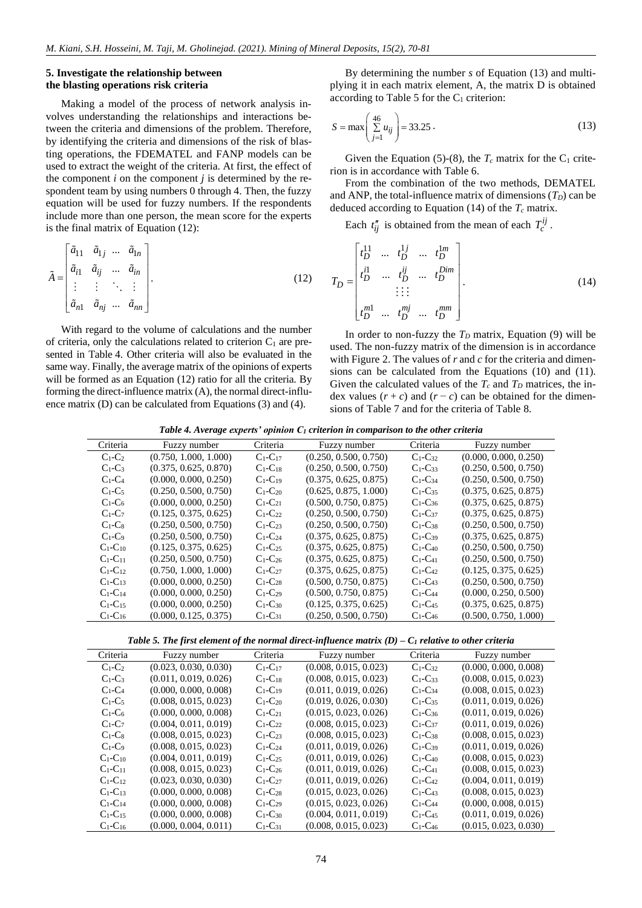## **5. Investigate the relationship between the blasting operations risk criteria**

Making a model of the process of network analysis involves understanding the relationships and interactions between the criteria and dimensions of the problem. Therefore, by identifying the criteria and dimensions of the risk of blasting operations, the FDEMATEL and FANP models can be used to extract the weight of the criteria. At first, the effect of the component  $i$  on the component  $j$  is determined by the respondent team by using numbers 0 through 4. Then, the fuzzy equation will be used for fuzzy numbers. If the respondents include more than one person, the mean score for the experts is the final matrix of Equation (12):

$$
\tilde{A} = \begin{bmatrix} \tilde{a}_{11} & \tilde{a}_{1j} & \dots & \tilde{a}_{1n} \\ \tilde{a}_{i1} & \tilde{a}_{ij} & \dots & \tilde{a}_{in} \\ \vdots & \vdots & \ddots & \vdots \\ \tilde{a}_{n1} & \tilde{a}_{nj} & \dots & \tilde{a}_{nn} \end{bmatrix} . \tag{12}
$$

With regard to the volume of calculations and the number of criteria, only the calculations related to criterion  $C_1$  are presented in Table 4. Other criteria will also be evaluated in the same way. Finally, the average matrix of the opinions of experts will be formed as an Equation (12) ratio for all the criteria. By forming the direct-influence matrix (A), the normal direct-influence matrix (D) can be calculated from Equations (3) and (4).

By determining the number *s* of Equation (13) and multiplying it in each matrix element, A, the matrix D is obtained according to Table 5 for the  $C_1$  criterion:

$$
S = \max\left(\sum_{j=1}^{46} u_{ij}\right) = 33.25.
$$
 (13)

Given the Equation (5)-(8), the  $T_c$  matrix for the  $C_1$  criterion is in accordance with Table 6.

From the combination of the two methods, DEMATEL and ANP, the total-influence matrix of dimensions  $(T_D)$  can be deduced according to Equation (14) of the  $T_c$  matrix.

Each  $t''_{ij}$  is obtained from the mean of each  $T_c^{ij}$ .

$$
T_{D} = \begin{bmatrix} t_{D}^{11} & \dots & t_{D}^{1j} & \dots & t_{D}^{1m} \\ t_{D}^{i1} & \dots & t_{D}^{ij} & \dots & t_{D}^{Dim} \\ \vdots & \vdots & \vdots & \vdots \\ t_{D}^{m1} & \dots & t_{D}^{mj} & \dots & t_{D}^{mm} \end{bmatrix} .
$$
 (14)

In order to non-fuzzy the  $T<sub>D</sub>$  matrix, Equation (9) will be used. The non-fuzzy matrix of the dimension is in accordance with Figure 2. The values of *r* and *c* for the criteria and dimensions can be calculated from the Equations (10) and (11). Given the calculated values of the  $T_c$  and  $T_p$  matrices, the index values  $(r + c)$  and  $(r - c)$  can be obtained for the dimensions of Table 7 and for the criteria of Table 8.

*Table 4. Average experts' opinion C<sup>1</sup> criterion in comparison to the other criteria*

| Criteria         | Fuzzy number          | Criteria         | Fuzzy number          | Criteria               | Fuzzy number          |
|------------------|-----------------------|------------------|-----------------------|------------------------|-----------------------|
| $C_1-C_2$        | (0.750, 1.000, 1.000) | $C_1 - C_{17}$   | (0.250, 0.500, 0.750) | $C_1$ - $C_{32}$       | (0.000, 0.000, 0.250) |
| $C_1-C_3$        | (0.375, 0.625, 0.870) | $C_1$ - $C_{18}$ | (0.250, 0.500, 0.750) | $C_1$ - $C_3$          | (0.250, 0.500, 0.750) |
| $C_1$ - $C_4$    | (0.000, 0.000, 0.250) | $C_1$ - $C_{19}$ | (0.375, 0.625, 0.875) | $C_1 - C_{34}$         | (0.250, 0.500, 0.750) |
| $C_1-C_5$        | (0.250, 0.500, 0.750) | $C_1 - C_{20}$   | (0.625, 0.875, 1.000) | $C_1$ -C <sub>35</sub> | (0.375, 0.625, 0.875) |
| $C_1$ - $C_6$    | (0.000, 0.000, 0.250) | $C_1 - C_{21}$   | (0.500, 0.750, 0.875) | $C_1 - C_{36}$         | (0.375, 0.625, 0.875) |
| $C_1-C_7$        | (0.125, 0.375, 0.625) | $C_1-C_{22}$     | (0.250, 0.500, 0.750) | $C_1 - C_{37}$         | (0.375, 0.625, 0.875) |
| $C_1-C_8$        | (0.250, 0.500, 0.750) | $C_1$ - $C_{23}$ | (0.250, 0.500, 0.750) | $C_1$ -C <sub>38</sub> | (0.250, 0.500, 0.750) |
| $C_1-C_9$        | (0.250, 0.500, 0.750) | $C_1 - C_{24}$   | (0.375, 0.625, 0.875) | $C_1 - C_{39}$         | (0.375, 0.625, 0.875) |
| $C_1 - C_{10}$   | (0.125, 0.375, 0.625) | $C_1 - C_{25}$   | (0.375, 0.625, 0.875) | $C_1 - C_{40}$         | (0.250, 0.500, 0.750) |
| $C_1$ - $C_{11}$ | (0.250, 0.500, 0.750) | $C_1 - C_{26}$   | (0.375, 0.625, 0.875) | $C_1$ - $C_{41}$       | (0.250, 0.500, 0.750) |
| $C_1$ - $C_1$    | (0.750, 1.000, 1.000) | $C_1 - C_{27}$   | (0.375, 0.625, 0.875) | $C_1$ - $C_{42}$       | (0.125, 0.375, 0.625) |
| $C_1$ - $C_{13}$ | (0.000, 0.000, 0.250) | $C_1$ - $C_{28}$ | (0.500, 0.750, 0.875) | $C_1$ - $C_{43}$       | (0.250, 0.500, 0.750) |
| $C_1$ - $C_{14}$ | (0.000, 0.000, 0.250) | $C_1 - C_{29}$   | (0.500, 0.750, 0.875) | $C_1 - C_{44}$         | (0.000, 0.250, 0.500) |
| $C_1$ - $C_1$ 5  | (0.000, 0.000, 0.250) | $C_1$ - $C_{30}$ | (0.125, 0.375, 0.625) | $C1-C45$               | (0.375, 0.625, 0.875) |
| $C_1$ - $C_{16}$ | (0.000, 0.125, 0.375) | $C_1 - C_{31}$   | (0.250, 0.500, 0.750) | $C_1 - C_{46}$         | (0.500, 0.750, 1.000) |

*Table 5. The first element of the normal direct-influence matrix (D) – C<sup>1</sup> relative to other criteria*

| Criteria         | Fuzzy number          | Criteria                   | Fuzzy number          | Criteria               | Fuzzy number          |
|------------------|-----------------------|----------------------------|-----------------------|------------------------|-----------------------|
| $C_1-C_2$        | (0.023, 0.030, 0.030) | $C_1-C_17$                 | (0.008, 0.015, 0.023) | $C_1$ - $C_{32}$       | (0.000, 0.000, 0.008) |
| $C_1-C_3$        | (0.011, 0.019, 0.026) | $C_1$ - $C_{18}$           | (0.008, 0.015, 0.023) | $C_1$ - $C_{33}$       | (0.008, 0.015, 0.023) |
| $C_1-C_4$        | (0.000, 0.000, 0.008) | $C_1$ - $C_1$ <sup>9</sup> | (0.011, 0.019, 0.026) | $C_1$ -C <sub>34</sub> | (0.008, 0.015, 0.023) |
| $C_1-C_5$        | (0.008, 0.015, 0.023) | $C_1 - C_{20}$             | (0.019, 0.026, 0.030) | $C_1 - C_3$            | (0.011, 0.019, 0.026) |
| $C_1$ - $C_6$    | (0.000, 0.000, 0.008) | $C_1 - C_{21}$             | (0.015, 0.023, 0.026) | $C1-C36$               | (0.011, 0.019, 0.026) |
| $C_1-C_7$        | (0.004, 0.011, 0.019) | $C_1 - C_{22}$             | (0.008, 0.015, 0.023) | $C_1 - C_{37}$         | (0.011, 0.019, 0.026) |
| $C_1-C_8$        | (0.008, 0.015, 0.023) | $C_1$ -C <sub>23</sub>     | (0.008, 0.015, 0.023) | $C_1$ -C <sub>38</sub> | (0.008, 0.015, 0.023) |
| $C_1-C_9$        | (0.008, 0.015, 0.023) | $C_1$ - $C_{24}$           | (0.011, 0.019, 0.026) | $C_1 - C_{39}$         | (0.011, 0.019, 0.026) |
| $C_1$ - $C_{10}$ | (0.004, 0.011, 0.019) | $C_1$ -C <sub>25</sub>     | (0.011, 0.019, 0.026) | $C_1$ -C <sub>40</sub> | (0.008, 0.015, 0.023) |
| $C_1 - C_{11}$   | (0.008, 0.015, 0.023) | $C_1 - C_{26}$             | (0.011, 0.019, 0.026) | $C_1 - C_{41}$         | (0.008, 0.015, 0.023) |
| $C_1-C_{12}$     | (0.023, 0.030, 0.030) | $C_1$ - $C_{27}$           | (0.011, 0.019, 0.026) | $C_1$ -C <sub>42</sub> | (0.004, 0.011, 0.019) |
| $C_1 - C_{13}$   | (0.000, 0.000, 0.008) | $C_1 - C_{28}$             | (0.015, 0.023, 0.026) | $C_1 - C_{43}$         | (0.008, 0.015, 0.023) |
| $C_1$ - $C_{14}$ | (0.000, 0.000, 0.008) | $C_1$ -C <sub>29</sub>     | (0.015, 0.023, 0.026) | $C_1$ -C <sub>44</sub> | (0.000, 0.008, 0.015) |
| $C_1$ - $C_1$ 5  | (0.000, 0.000, 0.008) | $C_1$ - $C_{30}$           | (0.004, 0.011, 0.019) | $C_1$ -C <sub>45</sub> | (0.011, 0.019, 0.026) |
| $C_1$ - $C_{16}$ | (0.000, 0.004, 0.011) | $C_1$ - $C_{31}$           | (0.008, 0.015, 0.023) | $C_1$ -C <sub>46</sub> | (0.015, 0.023, 0.030) |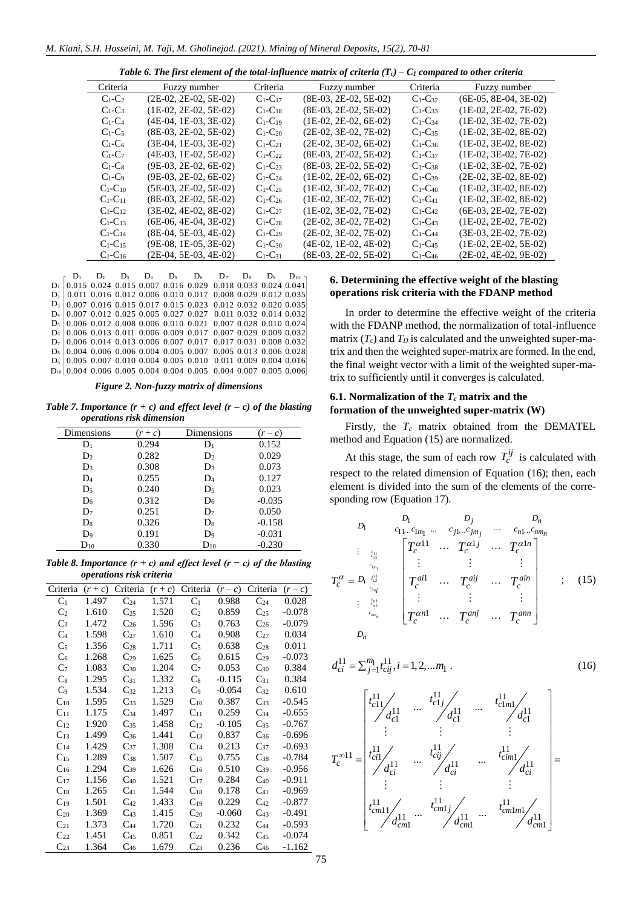*Table 6. The first element of the total-influence matrix of criteria (Tc) – C<sup>1</sup> compared to other criteria*

| Criteria         | Fuzzy number            | Criteria               | Fuzzy number            | Criteria               | Fuzzy number            |
|------------------|-------------------------|------------------------|-------------------------|------------------------|-------------------------|
| $C_1-C_2$        | $(2E-02, 2E-02, 5E-02)$ | $C_1-C_{17}$           | $(8E-03, 2E-02, 5E-02)$ | $C_1$ - $C_{32}$       | $(6E-05, 8E-04, 3E-02)$ |
| $C_1-C_3$        | $(1E-02, 2E-02, 5E-02)$ | $C_1-C_{18}$           | $(8E-03, 2E-02, 5E-02)$ | $C_1$ -C <sub>33</sub> | $(1E-02, 2E-02, 7E-02)$ |
| $C_1-C_4$        | $(4E-04, 1E-03, 3E-02)$ | $C_1-C_19$             | $(1E-02, 2E-02, 6E-02)$ | $C_1$ -C <sub>34</sub> | $(1E-02, 3E-02, 7E-02)$ |
| $C_1-C_5$        | $(8E-03, 2E-02, 5E-02)$ | $C_1 - C_{20}$         | $(2E-02, 3E-02, 7E-02)$ | $C_1 - C_3$            | $(1E-02, 3E-02, 8E-02)$ |
| $C_1$ - $C_6$    | $(3E-04, 1E-03, 3E-02)$ | $C_1-C_{21}$           | $(2E-02, 3E-02, 6E-02)$ | $C1-C36$               | $(1E-02, 3E-02, 8E-02)$ |
| $C_1-C_7$        | $(4E-03, 1E-02, 5E-02)$ | $C_1-C_{22}$           | $(8E-03, 2E-02, 5E-02)$ | $C_1$ - $C_{37}$       | $(1E-02, 3E-02, 7E-02)$ |
| $C_1-C_8$        | $(9E-03, 2E-02, 6E-02)$ | $C_1$ -C <sub>23</sub> | $(8E-03, 2E-02, 5E-02)$ | $C_1$ -C <sub>38</sub> | $(1E-02, 3E-02, 7E-02)$ |
| $C_1-C_9$        | $(9E-03, 2E-02, 6E-02)$ | $C_1$ -C <sub>24</sub> | $(1E-02, 2E-02, 6E-02)$ | $C_1$ - $C_3$          | $(2E-02, 3E-02, 8E-02)$ |
| $C_1$ - $C_{10}$ | $(5E-03, 2E-02, 5E-02)$ | $C_1-C_2$              | $(1E-02, 3E-02, 7E-02)$ | $C_1$ - $C_{40}$       | $(1E-02, 3E-02, 8E-02)$ |
| $C_1-C_{11}$     | $(8E-03, 2E-02, 5E-02)$ | $C_1$ -C <sub>26</sub> | $(1E-02, 3E-02, 7E-02)$ | $C_1$ - $C_{41}$       | $(1E-02, 3E-02, 8E-02)$ |
| $C_1-C_{12}$     | $(3E-02, 4E-02, 8E-02)$ | $C_1$ - $C_{27}$       | $(1E-02, 3E-02, 7E-02)$ | $C_1$ - $C_{42}$       | $(6E-03, 2E-02, 7E-02)$ |
| $C_1$ - $C_{13}$ | $(6E-06, 4E-04, 3E-02)$ | $C_1$ -C <sub>28</sub> | $(2E-02, 3E-02, 7E-02)$ | $C_1$ -C <sub>43</sub> | $(1E-02, 2E-02, 7E-02)$ |
| $C_1$ - $C_{14}$ | $(8E-04, 5E-03, 4E-02)$ | $C_1-C_{29}$           | $(2E-02, 3E-02, 7E-02)$ | $C_1$ -C <sub>44</sub> | $(3E-03, 2E-02, 7E-02)$ |
| $C_1-C_{15}$     | $(9E-08, 1E-05, 3E-02)$ | $C_1 - C_{30}$         | $(4E-02, 1E-02, 4E-02)$ | $C_1$ -C <sub>45</sub> | $(1E-02, 2E-02, 5E-02)$ |
| $C_1$ - $C_{16}$ | $(2E-04, 5E-03, 4E-02)$ | $C_1$ - $C_{31}$       | (8E-03, 2E-02, 5E-02)   | $C_1$ -C <sub>46</sub> | $(2E-02, 4E-02, 9E-02)$ |
|                  |                         |                        |                         |                        |                         |

 $D_1$ 0.015 0.024 0.015 0.007 0.016 0.029 0.018 0.033 0.024 0.041 0.011 0.016 0.012 0.006 0.010 0.017 0.008 0.029 0.012 0.035 0.007 0.016 0.015 0.017 0.015 0.023 0.012 0.032 0.020 0.035 0.007 0.012 0.025 0.005 0.027 0.027 0.011 0.032 0.014 0.032 0.006 0.012 0.008 0.006 0.010 0.021 0.007 0.028 0.010 0.024 0.006 0.013 0.011 0.006 0.009 0.017 0.007 0.029 0.009 0.032 0.006 0.014 0.013 0.006 0.007 0.017 0.017 0.031 0.008 0.032 0.004 0.006 0.006 0.004 0.005 0.007 0.005 0.013 0.006 0.028 0.005 0.007 0.010 0.004 0.005 0.010 0.011 0.009 0.004 0.016 D10 0.004 0.006 0.005 0.004 0.004 0.005 0.004 0.007 0.005 0.006  $D_2$   $D_3$  $D_4$  $D<sub>5</sub>$  $D<sub>6</sub>$  $D_7$  $D<sub>s</sub>$  $D<sub>9</sub>$  $D_{10}$  $D<sub>1</sub>$  $D<sub>2</sub>$  $D<sub>3</sub>$ D<sup>4</sup>  $D_5$ D<sub>6</sub>  $D<sub>2</sub>$ D<sub>8</sub>  $D<sub>9</sub>$ 

*Figure 2. Non-fuzzy matrix of dimensions*

*Table* 7. *Importance*  $(r + c)$  *and effect level*  $(r - c)$  *of the blasting operations risk dimension*

| Dimensions     | $(r+c)$ | Dimensions     | $(r-c)$  |
|----------------|---------|----------------|----------|
| $D_1$          | 0.294   | $\mathbf{D}_1$ | 0.152    |
| D <sub>2</sub> | 0.282   | D <sub>2</sub> | 0.029    |
| D <sub>3</sub> | 0.308   | $D_3$          | 0.073    |
| D <sub>4</sub> | 0.255   | D <sub>4</sub> | 0.127    |
| $D_5$          | 0.240   | $D_5$          | 0.023    |
| D <sub>6</sub> | 0.312   | $D_6$          | $-0.035$ |
| $D_7$          | 0.251   | $D_7$          | 0.050    |
| D <sub>8</sub> | 0.326   | $D_8$          | $-0.158$ |
| D <sub>9</sub> | 0.191   | D9             | $-0.031$ |
| $\rm D_{10}$   | 0.330   | $D_{10}$       | $-0.230$ |

*Table 8. Importance (r + c) and effect level (r − c) of the blasting operations risk criteria*

| Criteria          | $(r+c)$ | Criteria | $(r+c)$ | Criteria          | $(r-c)$  | Criteria | $(r-c)$  |
|-------------------|---------|----------|---------|-------------------|----------|----------|----------|
| C <sub>1</sub>    | 1.497   | $C_{24}$ | 1.571   | C <sub>1</sub>    | 0.988    | $C_{24}$ | 0.028    |
| C <sub>2</sub>    | 1.610   | $C_{25}$ | 1.520   | C <sub>2</sub>    | 0.859    | $C_{25}$ | $-0.078$ |
| $C_3$             | 1.472   | $C_{26}$ | 1.596   | $C_3$             | 0.763    | $C_{26}$ | $-0.079$ |
| C <sub>4</sub>    | 1.598   | $C_{27}$ | 1.610   | C <sub>4</sub>    | 0.908    | $C_{27}$ | 0.034    |
| $C_5$             | 1.356   | $C_{28}$ | 1.711   | $C_5$             | 0.638    | $C_{28}$ | 0.011    |
| C <sub>6</sub>    | 1.268   | $C_{29}$ | 1.625   | $\mathrm{C}_6$    | 0.615    | $C_{29}$ | $-0.073$ |
| C <sub>7</sub>    | 1.083   | $C_{30}$ | 1.204   | $\mathrm{C}_7$    | 0.053    | $C_{30}$ | 0.384    |
| $C_8$             | 1.295   | $C_{31}$ | 1.332   | $\mathrm{C}_8$    | $-0.115$ | $C_{31}$ | 0.384    |
| C <sub>9</sub>    | 1.534   | $C_{32}$ | 1.213   | $C_9$             | $-0.054$ | $C_{32}$ | 0.610    |
| $\mathrm{C_{10}}$ | 1.595   | $C_{33}$ | 1.529   | $\mathrm{C}_{10}$ | 0.387    | $C_{33}$ | $-0.545$ |
| $\mathrm{C}_{11}$ | 1.175   | $C_{34}$ | 1.497   | $C_{11}$          | 0.259    | $C_{34}$ | $-0.655$ |
| $C_{12}$          | 1.920   | $C_{35}$ | 1.458   | $C_{12}$          | $-0.105$ | $C_{35}$ | $-0.767$ |
| $C_{13}$          | 1.499   | $C_{36}$ | 1.441   | $C_{13}$          | 0.837    | $C_{36}$ | $-0.696$ |
| $\mathrm{C}_{14}$ | 1.429   | $C_{37}$ | 1.308   | $C_{14}$          | 0.213    | $C_{37}$ | $-0.693$ |
| $\mathrm{C}_{15}$ | 1.289   | $C_{38}$ | 1.507   | $C_{15}$          | 0.755    | $C_{38}$ | $-0.784$ |
| $\mathrm{C}_{16}$ | 1.294   | $C_{39}$ | 1.626   | $C_{16}$          | 0.510    | $C_{39}$ | $-0.956$ |
| $C_{17}$          | 1.156   | $C_{40}$ | 1.521   | $C_{17}$          | 0.284    | $C_{40}$ | $-0.911$ |
| $\mathrm{C}_{18}$ | 1.265   | $C_{41}$ | 1.544   | $\mathrm{C}_{18}$ | 0.178    | $C_{41}$ | $-0.969$ |
| $C_{19}$          | 1.501   | $C_{42}$ | 1.433   | $C_{19}$          | 0.229    | $C_{42}$ | $-0.877$ |
| $C_{20}$          | 1.369   | $C_{43}$ | 1.415   | $C_{20}$          | $-0.060$ | $C_{43}$ | $-0.491$ |
| $C_{21}$          | 1.373   | $C_{44}$ | 1.720   | $C_{21}$          | 0.232    | $C_{44}$ | $-0.593$ |
| $C_{22}$          | 1.451   | $C_{45}$ | 0.851   | $C_{22}$          | 0.342    | $C_{45}$ | $-0.074$ |
| $C_{23}$          | 1.364   | $C_{46}$ | 1.679   | $C_{23}$          | 0.236    | $C_{46}$ | $-1.162$ |

## **6. Determining the effective weight of the blasting operations risk criteria with the FDANP method**

In order to determine the effective weight of the criteria with the FDANP method, the normalization of total-influence matrix  $(T_c)$  and  $T_p$  is calculated and the unweighted super-matrix and then the weighted super-matrix are formed. In the end, the final weight vector with a limit of the weighted super-matrix to sufficiently until it converges is calculated.

## **6.1. Normalization of the** *T<sup>c</sup>* **matrix and the formation of the unweighted super-matrix (W)**

Firstly, the  $T_c$  matrix obtained from the DEMATEL method and Equation (15) are normalized.

At this stage, the sum of each row  $T_c^{ij}$  is calculated with respect to the related dimension of Equation (16); then, each element is divided into the sum of the elements of the corresponding row (Equation 17).

11 12 1 1 1 1 1 1 11 1 1 1 <sup>1</sup> ... 11 1 1 1 1 *c c <sup>c</sup> <sup>m</sup> ci c i c im c n c n c nmn j n m j jm n nm j n i i n D D D <sup>D</sup> c c c c c c j n c c c <sup>D</sup> ai aij ain <sup>c</sup> c c c n anj ann c c c D T T T T T T T T T* <sup>=</sup> ; (15)

$$
d_{ci}^{11} = \sum_{j=1}^{m_1} t_{cij}^{11}, i = 1, 2, \dots m_1
$$
 (16)



*T*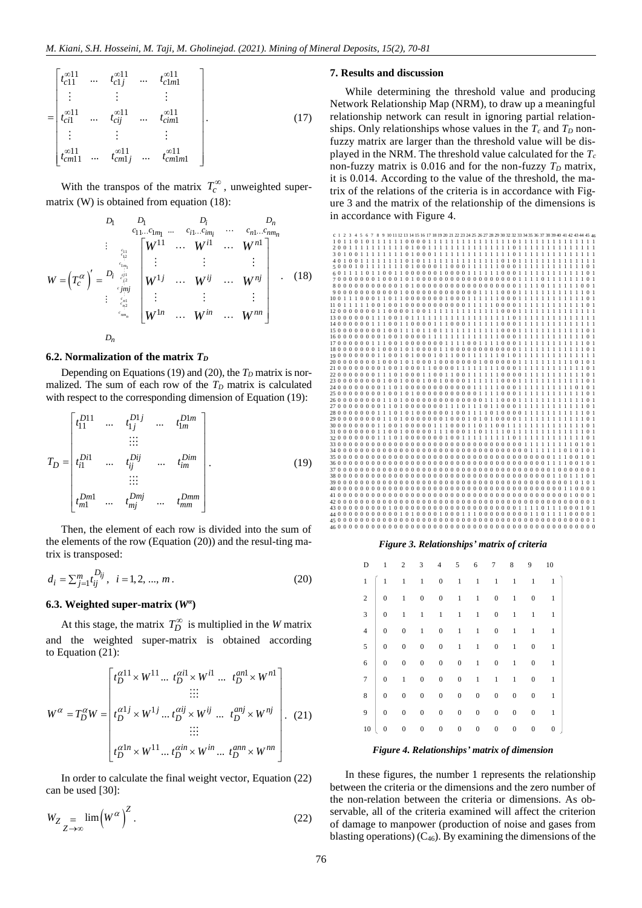$$
t_{c11}^{\infty 11} \cdots \t t_{c1j}^{\infty 11} \cdots \t t_{c1m1}^{\infty 11}
$$
\n
$$
= \begin{bmatrix} t_{c11}^{\infty 11} & \cdots & t_{c1j}^{\infty 11} & \cdots & t_{c1m1}^{\infty 11} \\ \vdots & \vdots & \vdots & \vdots \\ t_{c11}^{\infty 11} & \cdots & t_{c1j}^{\infty 11} & \cdots & t_{cm1m1}^{\infty 11} \\ \end{bmatrix} .
$$
\n(17)

With the transpos of the matrix  $T_c^{\infty}$ , unweighted supermatrix (W) is obtained from equation (18):

$$
W = \left(T_c^{\alpha}\right)' = \begin{bmatrix} D_1 & D_1 & D_i & D_n \\ \frac{c_{11}...c_{1m_1}...c_{i1}...c_{im_i}}{c_{11}...c_{1m_i}} & \cdots & c_{n1}...c_{nm_n} \\ \vdots & \vdots & \vdots & \vdots \\ \frac{c_{1n_1}}{c_{1n_1}} & W^{11} & \cdots & W^{n1} \\ \vdots & \vdots & \vdots & \vdots \\ W^{1j} & \cdots & W^{ij} & \cdots & W^{nj} \\ \vdots & \vdots & \vdots & \vdots \\ W^{1n} & \cdots & W^{in} & \cdots & W^{nn} \end{bmatrix} . \quad (18)
$$

*n D*

### **6.2. Normalization of the matrix** *T<sup>D</sup>*

Depending on Equations (19) and (20), the  $T<sub>D</sub>$  matrix is normalized. The sum of each row of the *T<sup>D</sup>* matrix is calculated with respect to the corresponding dimension of Equation (19):

$$
T_{D} = \begin{bmatrix} t_{11}^{D11} & \dots & t_{1j}^{D1j} & \dots & t_{1m}^{D1m} \\ \vdots & \vdots & & & \\ t_{i1}^{Di1} & \dots & t_{ij}^{Dij} & \dots & t_{im}^{Dim} \\ \vdots & \vdots & & & \\ t_{m1}^{Dm1} & \dots & t_{mj}^{Dmj} & \dots & t_{mm}^{Dmm} \end{bmatrix} .
$$
 (19)

Then, the element of each row is divided into the sum of the elements of the row (Equation (20)) and the resul-ting matrix is transposed:

$$
d_i = \sum_{j=1}^{m} t_{ij}^{D_{ij}}, \quad i = 1, 2, ..., m.
$$
 (20)

## **6.3. Weighted super-matrix (***W<sup>α</sup>* **)**

At this stage, the matrix  $T_D^{\infty}$  is multiplied in the *W* matrix and the weighted super-matrix is obtained according to Equation (21):

to Equation (21):  
\n
$$
W^{\alpha} = T_D^{\alpha} W = \begin{bmatrix} t_D^{\alpha 11} \times W^{11} \cdots t_D^{\alpha i 1} \times W^{i 1} \cdots \ t_D^{\alpha n 1} \times W^{n 1} \\ \vdots \\ t_D^{\alpha 1 j} \times W^{1 j} \cdots t_D^{\alpha i j} \times W^{i j} \cdots \ t_D^{\alpha n j} \times W^{n j} \\ \vdots \\ t_D^{\alpha 1 n} \times W^{1 1} \cdots t_D^{\alpha i n} \times W^{i n} \cdots \ t_D^{\alpha n n} \times W^{n n} \end{bmatrix}.
$$
\n(21)

In order to calculate the final weight vector, Equation (22) can be used [\[30\]:](#page-10-17)

$$
W_Z = \lim_{Z \to \infty} \left( W^{\alpha} \right)^Z.
$$
 (22)

### **7. Results and discussion**

While determining the threshold value and producing Network Relationship Map (NRM), to draw up a meaningful relationship network can result in ignoring partial relationships. Only relationships whose values in the  $T_c$  and  $T_D$  nonfuzzy matrix are larger than the threshold value will be displayed in the NRM. The threshold value calculated for the *T<sup>c</sup>* non-fuzzy matrix is 0.016 and for the non-fuzzy  $T<sub>D</sub>$  matrix, it is 0.014. According to the value of the threshold, the matrix of the relations of the criteria is in accordance with Figure 3 and the matrix of the relationship of the dimensions is in accordance with Figure 4.



### *Figure 3. Relationships' matrix of criteria*

| D               |                                                                                                        |              |                     |                |                |                |                       | 2 3 4 5 6 7 8 9 10                                                    |
|-----------------|--------------------------------------------------------------------------------------------------------|--------------|---------------------|----------------|----------------|----------------|-----------------------|-----------------------------------------------------------------------|
| $\,1\,$         |                                                                                                        |              |                     |                |                |                |                       | $\begin{bmatrix} 1 & 1 & 1 & 0 & 1 & 1 & 1 & 1 & 1 & 1 \end{bmatrix}$ |
|                 | $2 \begin{array}{ rrrrrrrrrrrrrrrrrr} 2 & 0 & 1 & 0 & 0 & 1 & 1 & 0 \end{array}$                       |              |                     |                |                |                |                       | $1 \qquad 0 \qquad 1$                                                 |
|                 | $3 \begin{array}{ rrrrrrrrrrrrrrrrrrrrrrrrrrrr} 3 & 0 & 1 & 1 & 1 & 1 & 1 & 0 & 1 & 1 & 1 \end{array}$ |              |                     |                |                |                |                       |                                                                       |
|                 | $4 \begin{array}{ rrrrrrrrrrrrrrrrrrrrrrrrrrrrrr} 4 & 0 & 0 & 1 & 0 & 1 & 1 & 0 & 1 & 1 \end{array}$   |              |                     |                |                |                |                       | $\overline{1}$                                                        |
|                 | $5 \begin{array}{ rrrrrrrrrrrrrrrr} 5 & 0 & 0 & 0 & 0 & 1 & 1 & 0 \end{array}$                         |              |                     |                |                |                | $1 \qquad 0 \qquad 1$ |                                                                       |
| $6\overline{6}$ | $\begin{array}{ c c } \hline 0 \\ \hline \end{array}$                                                  |              |                     |                |                |                | 0 0 0 0 1 0 1 0       | $\mathbf{1}$                                                          |
|                 | $7 \begin{array}{ rrrrrrrr} 7 & 0 & 1 & 0 & 0 & 0 & 1 & 1 \end{array}$                                 |              |                     |                |                |                | $1 \qquad 0 \qquad 1$ |                                                                       |
|                 | $\begin{array}{c cccccc}\n8 & 0 & 0 & 0 & 0 & 0 & 0\n\end{array}$                                      |              |                     |                |                | $\overline{0}$ | $\mathbf{0}$          | $1\,$                                                                 |
|                 |                                                                                                        |              |                     | $\mathbf{0}$   | $\overline{0}$ | $\overline{0}$ |                       | $0 \qquad 1$                                                          |
| 10              | $\mathbf{0}$                                                                                           | $\mathbf{0}$ | $0\qquad 0\qquad 0$ | $\overline{0}$ | $\mathbf{0}$   | $\overline{0}$ | $\mathbf{0}$          | $0 \quad$                                                             |

*Figure 4. Relationships' matrix of dimension*

In these figures, the number 1 represents the relationship between the criteria or the dimensions and the zero number of the non-relation between the criteria or dimensions. As observable, all of the criteria examined will affect the criterion of damage to manpower (production of noise and gases from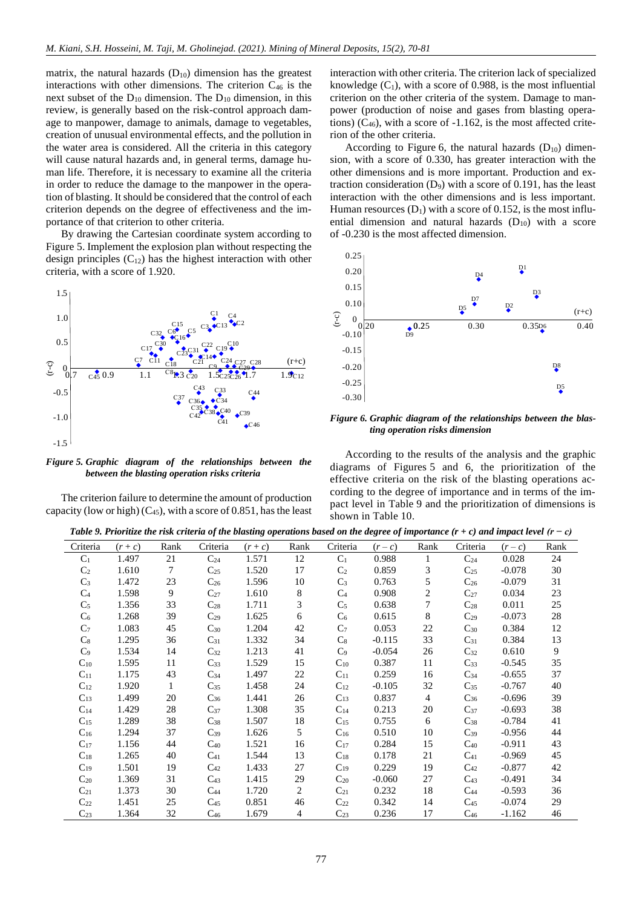matrix, the natural hazards  $(D_{10})$  dimension has the greatest interactions with other dimensions. The criterion C<sup>46</sup> is the next subset of the  $D_{10}$  dimension. The  $D_{10}$  dimension, in this review, is generally based on the risk-control approach damage to manpower, damage to animals, damage to vegetables, creation of unusual environmental effects, and the pollution in the water area is considered. All the criteria in this category will cause natural hazards and, in general terms, damage human life. Therefore, it is necessary to examine all the criteria in order to reduce the damage to the manpower in the operation of blasting. It should be considered that the control of each criterion depends on the degree of effectiveness and the importance of that criterion to other criteria.

By drawing the Cartesian coordinate system according to Figure 5. Implement the explosion plan without respecting the design principles  $(C_{12})$  has the highest interaction with other criteria, with a score of 1.920.



*Figure 5. Graphic diagram of the relationships between the between the blasting operation risks criteria*

The criterion failure to determine the amount of production capacity (low or high)  $(C_{45})$ , with a score of 0.851, has the least

interaction with other criteria. The criterion lack of specialized knowledge  $(C_1)$ , with a score of 0.988, is the most influential criterion on the other criteria of the system. Damage to manpower (production of noise and gases from blasting operations)  $(C_{46})$ , with a score of  $-1.162$ , is the most affected criterion of the other criteria.

According to Figure 6, the natural hazards  $(D_{10})$  dimension, with a score of 0.330, has greater interaction with the other dimensions and is more important. Production and extraction consideration  $(D_9)$  with a score of 0.191, has the least interaction with the other dimensions and is less important. Human resources  $(D_1)$  with a score of 0.152, is the most influential dimension and natural hazards  $(D_{10})$  with a score of -0.230 is the most affected dimension.



*Figure 6. Graphic diagram of the relationships between the blasting operation risks dimension*

According to the results of the analysis and the graphic diagrams of Figures 5 and 6, the prioritization of the effective criteria on the risk of the blasting operations according to the degree of importance and in terms of the impact level in Table 9 and the prioritization of dimensions is shown in Table 10.

*Table 9. Prioritize the risk criteria of the blasting operations based on the degree of importance (r + c) and impact level (r − c)*

|                |         |              |          | ັ<br>$\overline{\phantom{a}}$ |                |                |          |                |          |          |              |
|----------------|---------|--------------|----------|-------------------------------|----------------|----------------|----------|----------------|----------|----------|--------------|
| Criteria       | $(r+c)$ | Rank         | Criteria | $(r+c)$                       | Rank           | Criteria       | $(r-c)$  | Rank           | Criteria | $(r-c)$  | Rank         |
| C <sub>1</sub> | 1.497   | 21           | $C_{24}$ | 1.571                         | 12             | C <sub>1</sub> | 0.988    | $\mathbf{1}$   | $C_{24}$ | 0.028    | 24           |
| C <sub>2</sub> | 1.610   | $\tau$       | $C_{25}$ | 1.520                         | 17             | C <sub>2</sub> | 0.859    | 3              | $C_{25}$ | $-0.078$ | 30           |
| $C_3$          | 1.472   | 23           | $C_{26}$ | 1.596                         | 10             | $C_3$          | 0.763    | 5              | $C_{26}$ | $-0.079$ | 31           |
| C <sub>4</sub> | 1.598   | 9            | $C_{27}$ | 1.610                         | 8              | C <sub>4</sub> | 0.908    | 2              | $C_{27}$ | 0.034    | 23           |
| $C_5$          | 1.356   | 33           | $C_{28}$ | 1.711                         | 3              | $C_5$          | 0.638    | $\overline{7}$ | $C_{28}$ | 0.011    | 25           |
| $C_6$          | 1.268   | 39           | $C_{29}$ | 1.625                         | 6              | $C_6$          | 0.615    | 8              | $C_{29}$ | $-0.073$ | 28           |
| C <sub>7</sub> | 1.083   | 45           | $C_{30}$ | 1.204                         | 42             | C <sub>7</sub> | 0.053    | 22             | $C_{30}$ | 0.384    | 12           |
| C <sub>8</sub> | 1.295   | 36           | $C_{31}$ | 1.332                         | 34             | $C_8$          | $-0.115$ | 33             | $C_{31}$ | 0.384    | 13           |
| C <sub>9</sub> | 1.534   | 14           | $C_{32}$ | 1.213                         | 41             | $C_9$          | $-0.054$ | 26             | $C_{32}$ | 0.610    | $\mathbf{9}$ |
| $C_{10}$       | 1.595   | 11           | $C_{33}$ | 1.529                         | 15             | $C_{10}$       | 0.387    | 11             | $C_{33}$ | $-0.545$ | 35           |
| $C_{11}$       | 1.175   | 43           | $C_{34}$ | 1.497                         | 22             | $C_{11}$       | 0.259    | 16             | $C_{34}$ | $-0.655$ | 37           |
| $C_{12}$       | 1.920   | $\mathbf{1}$ | $C_{35}$ | 1.458                         | 24             | $C_{12}$       | $-0.105$ | 32             | $C_{35}$ | $-0.767$ | 40           |
| $C_{13}$       | 1.499   | 20           | $C_{36}$ | 1.441                         | 26             | $C_{13}$       | 0.837    | $\overline{4}$ | $C_{36}$ | $-0.696$ | 39           |
| $C_{14}$       | 1.429   | 28           | $C_{37}$ | 1.308                         | 35             | $C_{14}$       | 0.213    | 20             | $C_{37}$ | $-0.693$ | 38           |
| $C_{15}$       | 1.289   | 38           | $C_{38}$ | 1.507                         | 18             | $C_{15}$       | 0.755    | 6              | $C_{38}$ | $-0.784$ | 41           |
| $C_{16}$       | 1.294   | 37           | $C_{39}$ | 1.626                         | 5              | $C_{16}$       | 0.510    | 10             | $C_{39}$ | $-0.956$ | 44           |
| $C_{17}$       | 1.156   | 44           | $C_{40}$ | 1.521                         | 16             | $C_{17}$       | 0.284    | 15             | $C_{40}$ | $-0.911$ | 43           |
| $C_{18}$       | 1.265   | 40           | $C_{41}$ | 1.544                         | 13             | $C_{18}$       | 0.178    | 21             | $C_{41}$ | $-0.969$ | 45           |
| $C_{19}$       | 1.501   | 19           | $C_{42}$ | 1.433                         | 27             | $C_{19}$       | 0.229    | 19             | $C_{42}$ | $-0.877$ | 42           |
| $C_{20}$       | 1.369   | 31           | $C_{43}$ | 1.415                         | 29             | $C_{20}$       | $-0.060$ | 27             | $C_{43}$ | $-0.491$ | 34           |
| $C_{21}$       | 1.373   | 30           | $C_{44}$ | 1.720                         | 2              | $C_{21}$       | 0.232    | 18             | $C_{44}$ | $-0.593$ | 36           |
| $C_{22}$       | 1.451   | 25           | $C_{45}$ | 0.851                         | 46             | $C_{22}$       | 0.342    | 14             | $C_{45}$ | $-0.074$ | 29           |
| $C_{23}$       | 1.364   | 32           | $C_{46}$ | 1.679                         | $\overline{4}$ | $C_{23}$       | 0.236    | 17             | $C_{46}$ | $-1.162$ | 46           |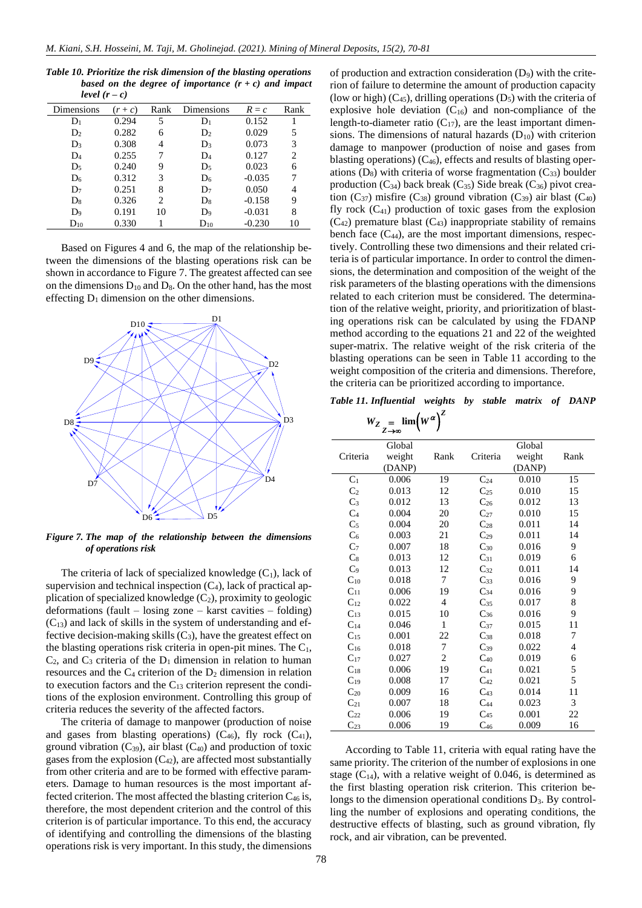| Table 10. Prioritize the risk dimension of the blasting operations |  |  |
|--------------------------------------------------------------------|--|--|
| based on the degree of importance $(r + c)$ and impact             |  |  |
| level $(r-c)$                                                      |  |  |

| Dimensions        | $(r+c)$ | Rank | Dimensions     | $R = c$  | Rank |
|-------------------|---------|------|----------------|----------|------|
| $\mathbf{D}_1$    | 0.294   | 5    | $D_1$          | 0.152    |      |
| D <sub>2</sub>    | 0.282   | 6    | D <sub>2</sub> | 0.029    | 5    |
| $D_3$             | 0.308   | 4    | $D_3$          | 0.073    | 3    |
| $D_4$             | 0.255   | 7    | $D_4$          | 0.127    | 2    |
| $D_5$             | 0.240   | 9    | $D_5$          | 0.023    | 6    |
| D <sub>6</sub>    | 0.312   | 3    | D <sub>6</sub> | $-0.035$ | 7    |
| $D_7$             | 0.251   | 8    | $D_7$          | 0.050    | 4    |
| D <sub>8</sub>    | 0.326   | 2    | D <sub>8</sub> | $-0.158$ | 9    |
| $D_9$             | 0.191   | 10   | $D_9$          | $-0.031$ | 8    |
| $\mathrm{D_{10}}$ | 0.330   |      | $D_{10}$       | $-0.230$ | 10   |

Based on Figures 4 and 6, the map of the relationship between the dimensions of the blasting operations risk can be shown in accordance to Figure 7. The greatest affected can see on the dimensions  $D_{10}$  and  $D_8$ . On the other hand, has the most effecting  $D_1$  dimension on the other dimensions.



*Figure 7. The map of the relationship between the dimensions of operations risk*

The criteria of lack of specialized knowledge  $(C_1)$ , lack of supervision and technical inspection  $(C_4)$ , lack of practical application of specialized knowledge  $(C_2)$ , proximity to geologic deformations (fault – losing zone – karst cavities – folding)  $(C_{13})$  and lack of skills in the system of understanding and effective decision-making skills  $(C_3)$ , have the greatest effect on the blasting operations risk criteria in open-pit mines. The  $C_1$ ,  $C_2$ , and  $C_3$  criteria of the  $D_1$  dimension in relation to human resources and the  $C_4$  criterion of the  $D_2$  dimension in relation to execution factors and the  $C_{13}$  criterion represent the conditions of the explosion environment. Controlling this group of criteria reduces the severity of the affected factors.

The criteria of damage to manpower (production of noise and gases from blasting operations)  $(C_{46})$ , fly rock  $(C_{41})$ , ground vibration  $(C_{39})$ , air blast  $(C_{40})$  and production of toxic gases from the explosion  $(C_{42})$ , are affected most substantially from other criteria and are to be formed with effective parameters. Damage to human resources is the most important affected criterion. The most affected the blasting criterion  $C_{46}$  is, therefore, the most dependent criterion and the control of this criterion is of particular importance. To this end, the accuracy of identifying and controlling the dimensions of the blasting operations risk is very important. In this study, the dimensions

of production and extraction consideration  $(D_9)$  with the criterion of failure to determine the amount of production capacity (low or high)  $(C_{45})$ , drilling operations  $(D_5)$  with the criteria of explosive hole deviation  $(C_{16})$  and non-compliance of the length-to-diameter ratio  $(C_{17})$ , are the least important dimensions. The dimensions of natural hazards  $(D_{10})$  with criterion damage to manpower (production of noise and gases from blasting operations)  $(C_{46})$ , effects and results of blasting operations  $(D_8)$  with criteria of worse fragmentation  $(C_{33})$  boulder production  $(C_{34})$  back break  $(C_{35})$  Side break  $(C_{36})$  pivot creation  $(C_{37})$  misfire  $(C_{38})$  ground vibration  $(C_{39})$  air blast  $(C_{40})$ fly rock  $(C_{41})$  production of toxic gases from the explosion  $(C_{42})$  premature blast  $(C_{43})$  inappropriate stability of remains bench face  $(C_{44})$ , are the most important dimensions, respectively. Controlling these two dimensions and their related criteria is of particular importance. In order to control the dimensions, the determination and composition of the weight of the risk parameters of the blasting operations with the dimensions related to each criterion must be considered. The determination of the relative weight, priority, and prioritization of blasting operations risk can be calculated by using the FDANP method according to the equations 21 and 22 of the weighted super-matrix. The relative weight of the risk criteria of the blasting operations can be seen in Table 11 according to the weight composition of the criteria and dimensions. Therefore, the criteria can be prioritized according to importance.

*Table 11. Influential weights by stable matrix of DANP Z*

| D1<br>D <sub>10</sub> $\leq$<br>有种<br>D2                                                                                                                                                                                                                                                          | ing operations risk can be calculated by using the FDANI<br>method according to the equations 21 and 22 of the weighted<br>super-matrix. The relative weight of the risk criteria of the<br>blasting operations can be seen in Table 11 according to the<br>weight composition of the criteria and dimensions. Therefore<br>the criteria can be prioritized according to importance. |                                                                |                |          |                            |                |  |
|---------------------------------------------------------------------------------------------------------------------------------------------------------------------------------------------------------------------------------------------------------------------------------------------------|--------------------------------------------------------------------------------------------------------------------------------------------------------------------------------------------------------------------------------------------------------------------------------------------------------------------------------------------------------------------------------------|----------------------------------------------------------------|----------------|----------|----------------------------|----------------|--|
|                                                                                                                                                                                                                                                                                                   | Table 11. Influential weights by stable matrix of DANI                                                                                                                                                                                                                                                                                                                               |                                                                |                |          |                            |                |  |
| D <sub>3</sub>                                                                                                                                                                                                                                                                                    | $W_Z = \lim_{Z \to \infty} (W^{\alpha})^Z$                                                                                                                                                                                                                                                                                                                                           |                                                                |                |          |                            |                |  |
|                                                                                                                                                                                                                                                                                                   | Criteria                                                                                                                                                                                                                                                                                                                                                                             | Global<br>weight<br>(DANP)                                     | Rank           | Criteria | Global<br>weight<br>(DANP) | Rank           |  |
| D <sub>4</sub>                                                                                                                                                                                                                                                                                    | $C_1$                                                                                                                                                                                                                                                                                                                                                                                | 0.006                                                          | 19             | $C_{24}$ | 0.010                      | 15             |  |
|                                                                                                                                                                                                                                                                                                   | C <sub>2</sub>                                                                                                                                                                                                                                                                                                                                                                       | 0.013                                                          | 12             | $C_{25}$ | 0.010                      | 15             |  |
|                                                                                                                                                                                                                                                                                                   | $C_3$                                                                                                                                                                                                                                                                                                                                                                                | 0.012                                                          | 13             | $C_{26}$ | 0.012                      | 13             |  |
| D <sub>5</sub><br>D6                                                                                                                                                                                                                                                                              | C <sub>4</sub>                                                                                                                                                                                                                                                                                                                                                                       | 0.004                                                          | 20             | $C_{27}$ | 0.010                      | 15             |  |
|                                                                                                                                                                                                                                                                                                   | C <sub>5</sub>                                                                                                                                                                                                                                                                                                                                                                       | 0.004                                                          | 20             | $C_{28}$ | 0.011                      | 14             |  |
| of the relationship between the dimensions                                                                                                                                                                                                                                                        | $\mathrm{C}_6$                                                                                                                                                                                                                                                                                                                                                                       | 0.003                                                          | 21             | $C_{29}$ | 0.011                      | 14             |  |
| ns risk                                                                                                                                                                                                                                                                                           | C <sub>7</sub>                                                                                                                                                                                                                                                                                                                                                                       | 0.007                                                          | 18             | $C_{30}$ | 0.016                      | $\overline{9}$ |  |
|                                                                                                                                                                                                                                                                                                   | $C_8$                                                                                                                                                                                                                                                                                                                                                                                | 0.013                                                          | 12             | $C_{31}$ | 0.019                      | 6              |  |
| ack of specialized knowledge $(C_1)$ , lack of                                                                                                                                                                                                                                                    | C <sub>9</sub>                                                                                                                                                                                                                                                                                                                                                                       | 0.013                                                          | 12             | $C_{32}$ | 0.011                      | 14             |  |
| nnical inspection $(C_4)$ , lack of practical ap-                                                                                                                                                                                                                                                 | $C_{10}$                                                                                                                                                                                                                                                                                                                                                                             | 0.018                                                          | 7              | $C_{33}$ | 0.016                      | $\mathbf{9}$   |  |
| zed knowledge $(C_2)$ , proximity to geologic                                                                                                                                                                                                                                                     | $C_{11}$                                                                                                                                                                                                                                                                                                                                                                             | 0.006                                                          | 19             | $C_{34}$ | 0.016                      | 9              |  |
|                                                                                                                                                                                                                                                                                                   | $C_{12}$                                                                                                                                                                                                                                                                                                                                                                             | 0.022                                                          | 4              | $C_{35}$ | 0.017                      | $\,8\,$        |  |
| $-$ losing zone $-$ karst cavities $-$ folding)                                                                                                                                                                                                                                                   | $C_{13}$                                                                                                                                                                                                                                                                                                                                                                             | 0.015                                                          | 10             | $C_{36}$ | 0.016                      | 9              |  |
| ills in the system of understanding and ef-                                                                                                                                                                                                                                                       | $C_{14}$                                                                                                                                                                                                                                                                                                                                                                             | 0.046                                                          | $\mathbf{1}$   | $C_{37}$ | 0.015                      | 11             |  |
| king skills $(C_3)$ , have the greatest effect on                                                                                                                                                                                                                                                 | $C_{15}$                                                                                                                                                                                                                                                                                                                                                                             | 0.001                                                          | 22             | $C_{38}$ | 0.018                      | 7              |  |
| ons risk criteria in open-pit mines. The $C_1$ ,                                                                                                                                                                                                                                                  | $C_{16}$                                                                                                                                                                                                                                                                                                                                                                             | 0.018                                                          | 7              | $C_{39}$ | 0.022                      | $\overline{4}$ |  |
| of the $D_1$ dimension in relation to human                                                                                                                                                                                                                                                       | $C_{17}$                                                                                                                                                                                                                                                                                                                                                                             | 0.027                                                          | $\overline{2}$ | $C_{40}$ | 0.019                      | $\sqrt{6}$     |  |
| $\frac{1}{4}$ criterion of the $D_2$ dimension in relation                                                                                                                                                                                                                                        | $C_{18}$                                                                                                                                                                                                                                                                                                                                                                             | 0.006                                                          | 19             | $C_{41}$ | 0.021                      | $\sqrt{5}$     |  |
| and the $C_{13}$ criterion represent the condi-                                                                                                                                                                                                                                                   | $C_{19}$                                                                                                                                                                                                                                                                                                                                                                             | 0.008                                                          | 17             | $C_{42}$ | 0.021                      | 5              |  |
| on environment. Controlling this group of                                                                                                                                                                                                                                                         | $C_{20}$                                                                                                                                                                                                                                                                                                                                                                             | 0.009                                                          | 16             | $C_{43}$ | 0.014                      | 11             |  |
| severity of the affected factors.                                                                                                                                                                                                                                                                 | $C_{21}$                                                                                                                                                                                                                                                                                                                                                                             | 0.007                                                          | 18             | $C_{44}$ | 0.023                      | $\mathfrak{Z}$ |  |
|                                                                                                                                                                                                                                                                                                   | $C_{22}$                                                                                                                                                                                                                                                                                                                                                                             | 0.006                                                          | 19             | $C_{45}$ | 0.001                      | 22             |  |
| lamage to manpower (production of noise<br>asting operations) $(C_{46})$ , fly rock $(C_{41})$ ,                                                                                                                                                                                                  | $C_{23}$                                                                                                                                                                                                                                                                                                                                                                             | 0.006                                                          | 19             | $C_{46}$ | 0.009                      | 16             |  |
| $\S$ <sub>39</sub> ), air blast (C <sub>40</sub> ) and production of toxic<br>$\gamma$ osion (C <sub>42</sub> ), are affected most substantially<br>and are to be formed with effective param-<br>uman resources is the most important af-<br>e most affected the blasting criterion $C_{46}$ is, | same priority. The criterion of the number of explosions in one<br>stage $(C_{14})$ , with a relative weight of 0.046, is determined as<br>the first blasting operation risk criterion. This criterion be-                                                                                                                                                                           | According to Table 11, criteria with equal rating have the     |                |          |                            |                |  |
| dependent criterion and the control of this                                                                                                                                                                                                                                                       | longs to the dimension operational conditions $D_3$ . By control-                                                                                                                                                                                                                                                                                                                    |                                                                |                |          |                            |                |  |
|                                                                                                                                                                                                                                                                                                   | ling the number of explosions and operating conditions, the                                                                                                                                                                                                                                                                                                                          |                                                                |                |          |                            |                |  |
| ular importance. To this end, the accuracy                                                                                                                                                                                                                                                        |                                                                                                                                                                                                                                                                                                                                                                                      | destructive effects of blasting, such as ground vibration, fly |                |          |                            |                |  |
| controlling the dimensions of the blasting                                                                                                                                                                                                                                                        | rock, and air vibration, can be prevented.                                                                                                                                                                                                                                                                                                                                           |                                                                |                |          |                            |                |  |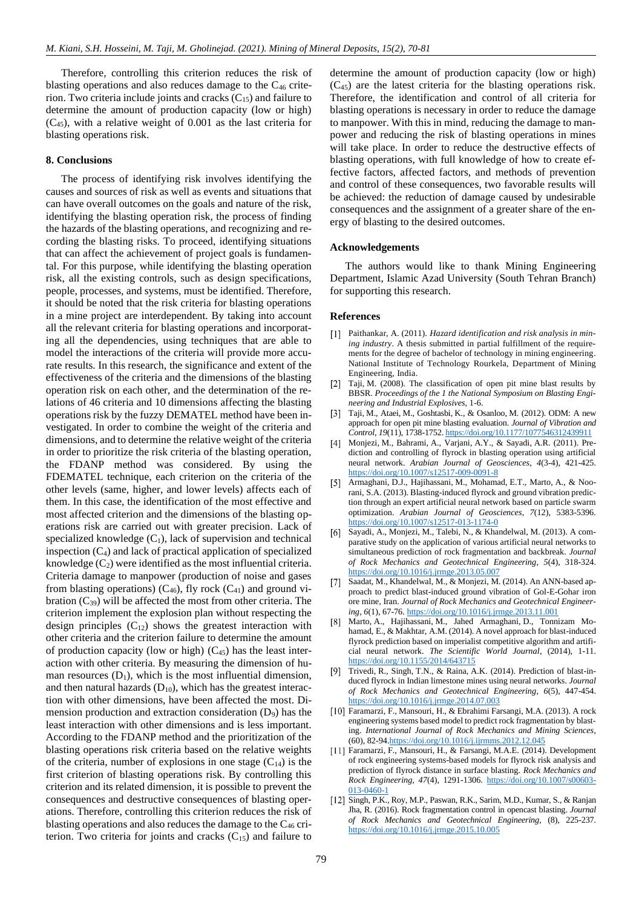Therefore, controlling this criterion reduces the risk of blasting operations and also reduces damage to the  $C_{46}$  criterion. Two criteria include joints and cracks  $(C_{15})$  and failure to determine the amount of production capacity (low or high) (C45), with a relative weight of 0.001 as the last criteria for blasting operations risk.

## **8. Conclusions**

The process of identifying risk involves identifying the causes and sources of risk as well as events and situations that can have overall outcomes on the goals and nature of the risk, identifying the blasting operation risk, the process of finding the hazards of the blasting operations, and recognizing and recording the blasting risks. To proceed, identifying situations that can affect the achievement of project goals is fundamental. For this purpose, while identifying the blasting operation risk, all the existing controls, such as design specifications, people, processes, and systems, must be identified. Therefore, it should be noted that the risk criteria for blasting operations in a mine project are interdependent. By taking into account all the relevant criteria for blasting operations and incorporating all the dependencies, using techniques that are able to model the interactions of the criteria will provide more accurate results. In this research, the significance and extent of the effectiveness of the criteria and the dimensions of the blasting operation risk on each other, and the determination of the relations of 46 criteria and 10 dimensions affecting the blasting operations risk by the fuzzy DEMATEL method have been investigated. In order to combine the weight of the criteria and dimensions, and to determine the relative weight of the criteria in order to prioritize the risk criteria of the blasting operation, the FDANP method was considered. By using the FDEMATEL technique, each criterion on the criteria of the other levels (same, higher, and lower levels) affects each of them. In this case, the identification of the most effective and most affected criterion and the dimensions of the blasting operations risk are carried out with greater precision. Lack of specialized knowledge  $(C_1)$ , lack of supervision and technical inspection  $(C_4)$  and lack of practical application of specialized knowledge  $(C_2)$  were identified as the most influential criteria. Criteria damage to manpower (production of noise and gases from blasting operations)  $(C_{46})$ , fly rock  $(C_{41})$  and ground vibration  $(C_{39})$  will be affected the most from other criteria. The criterion implement the explosion plan without respecting the design principles  $(C_{12})$  shows the greatest interaction with other criteria and the criterion failure to determine the amount of production capacity (low or high)  $(C_{45})$  has the least interaction with other criteria. By measuring the dimension of human resources  $(D_1)$ , which is the most influential dimension, and then natural hazards  $(D_{10})$ , which has the greatest interaction with other dimensions, have been affected the most. Dimension production and extraction consideration  $(D_9)$  has the least interaction with other dimensions and is less important. According to the FDANP method and the prioritization of the blasting operations risk criteria based on the relative weights of the criteria, number of explosions in one stage  $(C_{14})$  is the first criterion of blasting operations risk. By controlling this criterion and its related dimension, it is possible to prevent the consequences and destructive consequences of blasting operations. Therefore, controlling this criterion reduces the risk of blasting operations and also reduces the damage to the  $C_{46}$  criterion. Two criteria for joints and cracks  $(C_{15})$  and failure to

determine the amount of production capacity (low or high) (C45) are the latest criteria for the blasting operations risk. Therefore, the identification and control of all criteria for blasting operations is necessary in order to reduce the damage to manpower. With this in mind, reducing the damage to manpower and reducing the risk of blasting operations in mines will take place. In order to reduce the destructive effects of blasting operations, with full knowledge of how to create effective factors, affected factors, and methods of prevention and control of these consequences, two favorable results will be achieved: the reduction of damage caused by undesirable consequences and the assignment of a greater share of the energy of blasting to the desired outcomes.

### **Acknowledgements**

The authors would like to thank Mining Engineering Department, Islamic Azad University (South Tehran Branch) for supporting this research.

### **References**

- <span id="page-9-0"></span>Paithankar, A. (2011). *Hazard identification and risk analysis in mining industry*. A thesis submitted in partial fulfillment of the requirements for the degree of bachelor of technology in mining engineering. National Institute of Technology Rourkela, Department of Mining Engineering, India.
- <span id="page-9-1"></span>Taji, M. (2008). The classification of open pit mine blast results by BBSR. *Proceedings of the 1 the National Symposium on Blasting Engineering and Industrial Explosives*, 1-6.
- <span id="page-9-2"></span>Taji, M., Ataei, M., Goshtasbi, K., & Osanloo, M. (2012). ODM: A new approach for open pit mine blasting evaluation. *Journal of Vibration and Control*, *19*(11), 1738-1752. <https://doi.org/10.1177/1077546312439911>
- <span id="page-9-3"></span>Monjezi, M., Bahrami, A., Varjani, A.Y., & Sayadi, A.R. (2011). Prediction and controlling of flyrock in blasting operation using artificial neural network. *Arabian Journal of Geosciences*, *4*(3-4), 421-425. <https://doi.org/10.1007/s12517-009-0091-8>
- <span id="page-9-4"></span>Armaghani, D.J., Hajihassani, M., Mohamad, E.T., Marto, A., & Noorani, S.A. (2013). Blasting-induced flyrock and ground vibration prediction through an expert artificial neural network based on particle swarm optimization. *Arabian Journal of Geosciences*, *7*(12), 5383-5396. <https://doi.org/10.1007/s12517-013-1174-0>
- <span id="page-9-5"></span>**61** Sayadi, A., Monjezi, M., Talebi, N., & Khandelwal, M. (2013). A comparative study on the application of various artificial neural networks to simultaneous prediction of rock fragmentation and backbreak. *Journal of Rock Mechanics and Geotechnical Engineering*, *5*(4), 318-324. <https://doi.org/10.1016/j.jrmge.2013.05.007>
- <span id="page-9-6"></span>Saadat, M., Khandelwal, M., & Monjezi, M. (2014). An ANN-based approach to predict blast-induced ground vibration of Gol-E-Gohar iron ore mine, Iran. *Journal of Rock Mechanics and Geotechnical Engineering*, *6*(1), 67-76. <https://doi.org/10.1016/j.jrmge.2013.11.001>
- <span id="page-9-7"></span>Marto, A., Hajihassani, M., Jahed Armaghani, D., Tonnizam Mohamad, E., & Makhtar, A.M. (2014). A novel approach for blast-induced flyrock prediction based on imperialist competitive algorithm and artificial neural network. *The Scientific World Journal*, (2014), 1-11. <https://doi.org/10.1155/2014/643715>
- <span id="page-9-8"></span>Trivedi, R., Singh, T.N., & Raina, A.K. (2014). Prediction of blast-induced flyrock in Indian limestone mines using neural networks. *Journal of Rock Mechanics and Geotechnical Engineering*, *6*(5), 447-454. <https://doi.org/10.1016/j.jrmge.2014.07.003>
- <span id="page-9-9"></span>Faramarzi, F., Mansouri, H., & Ebrahimi Farsangi, M.A. (2013). A rock engineering systems based model to predict rock fragmentation by blasting. *International Journal of Rock Mechanics and Mining Sciences*, (60), 82-9[4.https://doi.org/10.1016/j.ijrmms.2012.12.045](https://doi.org/10.1016/j.ijrmms.2012.12.045)
- <span id="page-9-10"></span>Faramarzi, F., Mansouri, H., & Farsangi, M.A.E. (2014). Development of rock engineering systems-based models for flyrock risk analysis and prediction of flyrock distance in surface blasting. *Rock Mechanics and Rock Engineering*, *47*(4), 1291-1306. [https://doi.org/10.1007/s00603-](https://doi.org/10.1007/s00603-013-0460-1) [013-0460-1](https://doi.org/10.1007/s00603-013-0460-1)
- <span id="page-9-11"></span>[12] Singh, P.K., Roy, M.P., Paswan, R.K., Sarim, M.D., Kumar, S., & Ranjan Jha, R. (2016). Rock fragmentation control in opencast blasting. *Journal of Rock Mechanics and Geotechnical Engineering*, (8), 225-237. <https://doi.org/10.1016/j.jrmge.2015.10.005>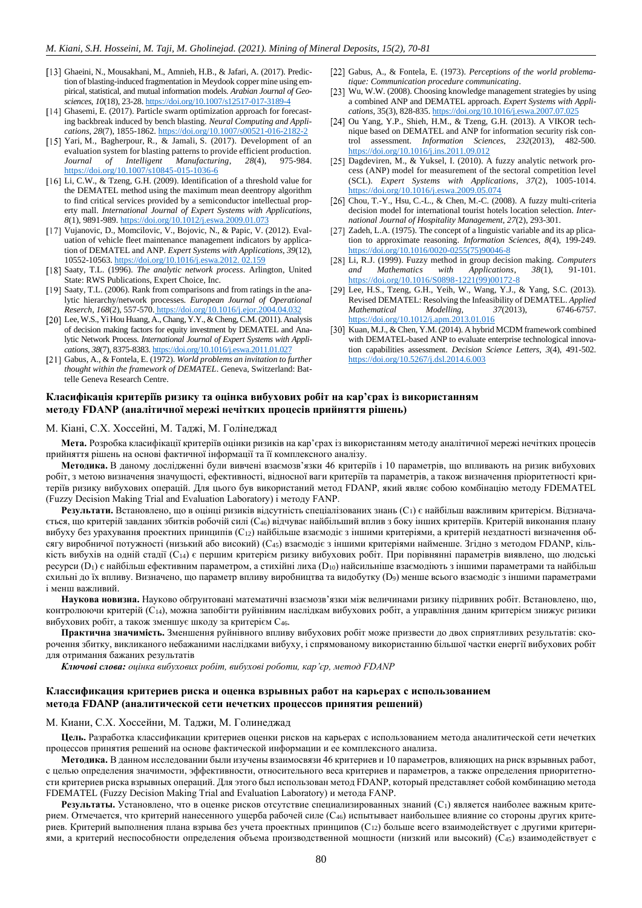- <span id="page-10-0"></span>Ghaeini, N., Mousakhani, M., Amnieh, H.B., & Jafari, A. (2017). Prediction of blasting-induced fragmentation in Meydook copper mine using empirical, statistical, and mutual information models. *Arabian Journal of Geosciences*, *10*(18), 23-28. <https://doi.org/10.1007/s12517-017-3189-4>
- <span id="page-10-1"></span>[14] Ghasemi, E. (2017). Particle swarm optimization approach for forecasting backbreak induced by bench blasting. *Neural Computing and Applications*, *28*(7), 1855-1862. <https://doi.org/10.1007/s00521-016-2182-2>
- <span id="page-10-2"></span>[15] Yari, M., Bagherpour, R., & Jamali, S. (2017). Development of an evaluation system for blasting patterns to provide efficient production. *Journal of Intelligent Manufacturing*, *28*(4), 975-984. <https://doi.org/10.1007/s10845-015-1036-6>
- <span id="page-10-3"></span>[16] Li, C.W., & Tzeng, G.H. (2009). Identification of a threshold value for the DEMATEL method using the maximum mean deentropy algorithm to find critical services provided by a semiconductor intellectual property mall. *International Journal of Expert Systems with Applications, 8*(1), 9891-989. <https://doi.org/10.1012/j.eswa.2009.01.073>
- <span id="page-10-4"></span>Vujanovic, D., Momcilovic, V., Bojovic, N., & Papic, V. (2012). Evaluation of vehicle fleet maintenance management indicators by application of DEMATEL and ANP. *Expert Systems with Applications*, *39*(12), 10552-10563. [https://doi.org/10.1016/j.eswa.2012.](https://doi/10.1016/j.eswa.2012) 02.159
- <span id="page-10-5"></span>[18] Saaty, T.L. (1996). *The analytic network process*. Arlington, United State: RWS Publications, Expert Choice, Inc.
- <span id="page-10-6"></span>[19] Saaty, T.L. (2006). Rank from comparisons and from ratings in the analytic hierarchy/network processes*. European Journal of Operational Reserch*, *168*(2), 557-570. [https://doi.org/10.1016/j.e](https://doi.org/10.1016/j.)jor.2004.04.032
- <span id="page-10-7"></span>[20] Lee, W.S., Yi Hou Huang, A., Chang, Y.Y., & Cheng, C.M. (2011). Analysis of decision making factors for equity investment by DEMATEL and Analytic Network Process. *International Journal of Expert Systems with Applications*, *38*(7), 8375-8383[. https://doi.org/10.1016/j.eswa.2011.01.027](https://doi.org/10.1016/j.eswa.2011.01.027)
- <span id="page-10-8"></span>Gabus, A., & Fontela, E. (1972). *World problems an invitation to further thought within the framework of DEMATEL*. Geneva, Switzerland: Battelle Geneva Research Centre.
- <span id="page-10-9"></span>Gabus, A., & Fontela, E. (1973). *Perceptions of the world problematique: Communication procedure communicating*.
- <span id="page-10-10"></span>[23] Wu, W.W. (2008). Choosing knowledge management strategies by using a combined ANP and DEMATEL approach. *Expert Systems with Applications*, 35(3), 828-835. [https://doi.org/10.1016/j.e](https://doi/10.1016/j.)swa.2007.07.025
- <span id="page-10-11"></span>[24] Ou Yang, Y.P., Shieh, H.M., & Tzeng, G.H. (2013). A VIKOR technique based on DEMATEL and ANP for information security risk control assessment. *Information Sciences*, *232*(2013), 482-500. <https://doi.org/10.1016/j.ins.2011.09.012>
- <span id="page-10-12"></span>Dagdeviren, M., & Yuksel, I. (2010). A fuzzy analytic network process (ANP) model for measurement of the sectoral competition level (SCL). *[Expert Systems with Applications](https://www.researchgate.net/journal/0957-4174_Expert_Systems_with_Applications)*, *37*(2), 1005-1014. [https://doi.org/](https://doi.org/10.1016/j.ijhm.2007.07.029)[10.1016/j.eswa.2009.05.074](https://www.researchgate.net/deref/http%3A%2F%2Fdx.doi.org%2F10.1016%2Fj.eswa.2009.05.074)
- <span id="page-10-13"></span>[26] Chou, T.-Y., Hsu, C.-L., & Chen, M.-C. (2008). A fuzzy multi-criteria decision model for international tourist hotels location selection. *International Journal of Hospitality Management*, *27*(2), 293-301.
- <span id="page-10-14"></span>[27] Zadeh, L.A. (1975). The concept of a linguistic variable and its ap plication to approximate reasoning. *Information Sciences*, *8*(4), 199-249. [https://doi.org/10.1016/0020-0255\(75\)90046-8](https://doi.org/10.1016/0020-0255(75)90046-8)
- <span id="page-10-15"></span>[28] Li, R.J. (1999). Fuzzy method in group decision making. *Computers and Mathematics with Applications*, *38*(1), 91-101. [https://doi.org/10.1016/S0898-1221\(99\)00172-8](https://doi.org/10.1016/S0898-1221(99)00172-8)
- <span id="page-10-16"></span>[29] Lee, H.S., Tzeng, G.H., Yeih, W., Wang, Y.J., & Yang, S.C. (2013). Revised DEMATEL: Resolving the Infeasibility of DEMATEL. *Applied Mathematical Modelling*, *37*(2013), 6746-6757. [https://doi.org/10.1012/j.apm.2](https://doi.org/10.1012/j.apm.)013.01.016
- <span id="page-10-17"></span>[30] Kuan, M.J., & Chen, Y.M. (2014). A hybrid MCDM framework combined with DEMATEL-based ANP to evaluate enterprise technological innovation capabilities assessment. *Decision Science Letters*, *3*(4), 491-502. <https://doi.org/10.5267/j.dsl.2014.6.003>

## **Класифікація критеріїв ризику та оцінка вибухових робіт на кар'єрах із використанням методу FDANP (аналітичної мережі нечітких процесів прийняття рішень)**

### М. Кіані, С.Х. Хоссейні, М. Таджі, М. Голінеджад

**Мета.** Розробка класифікації критеріїв оцінки ризиків на кар'єрах із використанням методу аналітичної мережі нечітких процесів прийняття рішень на основі фактичної інформації та її комплексного аналізу.

**Методика.** В даному дослідженні були вивчені взаємозв'язки 46 критеріїв і 10 параметрів, що впливають на ризик вибухових робіт, з метою визначення значущості, ефективності, відносної ваги критеріїв та параметрів, а також визначення пріоритетності критеріїв ризику вибухових операцій. Для цього був використаний метод FDANP, який являє собою комбінацію методу FDEMATEL (Fuzzy Decision Making Trial and Evaluation Laboratory) і методу FANP.

**Результати.** Встановлено, що в оцінці ризиків відсутність спеціалізованих знань (С<sub>1</sub>) є найбільш важливим критерієм. Відзначається, що критерій завданих збитків робочій силі (C46) відчуває найбільший вплив з боку інших критеріїв. Критерій виконання плану вибуху без урахування проектних принципів (C12) найбільше взаємодіє з іншими критеріями, а критерій нездатності визначення обсягу виробничої потужності (низький або високий) (C45) взаємодіє з іншими критеріями найменше. Згідно з методом FDANP, кількість вибухів на одній стадії (C14) є першим критерієм ризику вибухових робіт. При порівнянні параметрів виявлено, що людські ресурси (D1) є найбільш ефективним параметром, а стихійні лиха (D10) найсильніше взаємодіють з іншими параметрами та найбільш схильні до їх впливу. Визначено, що параметр впливу виробництва та видобутку (D9) менше всього взаємодіє з іншими параметрами і менш важливий.

**Наукова новизна.** Науково обґрунтовані математичні взаємозв'язки між величинами ризику підривних робіт. Встановлено, що, контролюючи критерій (C14), можна запобігти руйнівним наслідкам вибухових робіт, а управління даним критерієм знижує ризики вибухових робіт, а також зменшує шкоду за критерієм C46.

**Практична значимість.** Зменшення руйнівного впливу вибухових робіт може призвести до двох сприятливих результатів: скорочення збитку, викликаного небажаними наслідками вибуху, і спрямованому використанню більшої частки енергії вибухових робіт для отримання бажаних результатів

*Ключові слова: оцінка вибухових робіт, вибухові роботи, кар'єр, метод FDANP*

## **Классификация критериев риска и оценка взрывных работ на карьерах с использованием метода FDANP (аналитической сети нечетких процессов принятия решений)**

### М. Киани, С.Х. Хоссейни, М. Таджи, М. Голинеджад

**Цель.** Разработка классификации критериев оценки рисков на карьерах с использованием метода аналитической сети нечетких процессов принятия решений на основе фактической информации и ее комплексного анализа.

**Методика.** В данном исследовании были изучены взаимосвязи 46 критериев и 10 параметров, влияющих на риск взрывных работ, с целью определения значимости, эффективности, относительного веса критериев и параметров, а также определения приоритетности критериев риска взрывных операций. Для этого был использован метод FDANP, который представляет собой комбинацию метода FDEMATEL (Fuzzy Decision Making Trial and Evaluation Laboratory) и метода FANP.

Результаты. Установлено, что в оценке рисков отсутствие специализированных знаний (C<sub>1</sub>) является наиболее важным критерием. Отмечается, что критерий нанесенного ущерба рабочей силе (C46) испытывает наибольшее влияние со стороны других критериев. Критерий выполнения плана взрыва без учета проектных принципов (C12) больше всего взаимодействует с другими критериями, а критерий неспособности определения объема производственной мощности (низкий или высокий) (C45) взаимодействует с